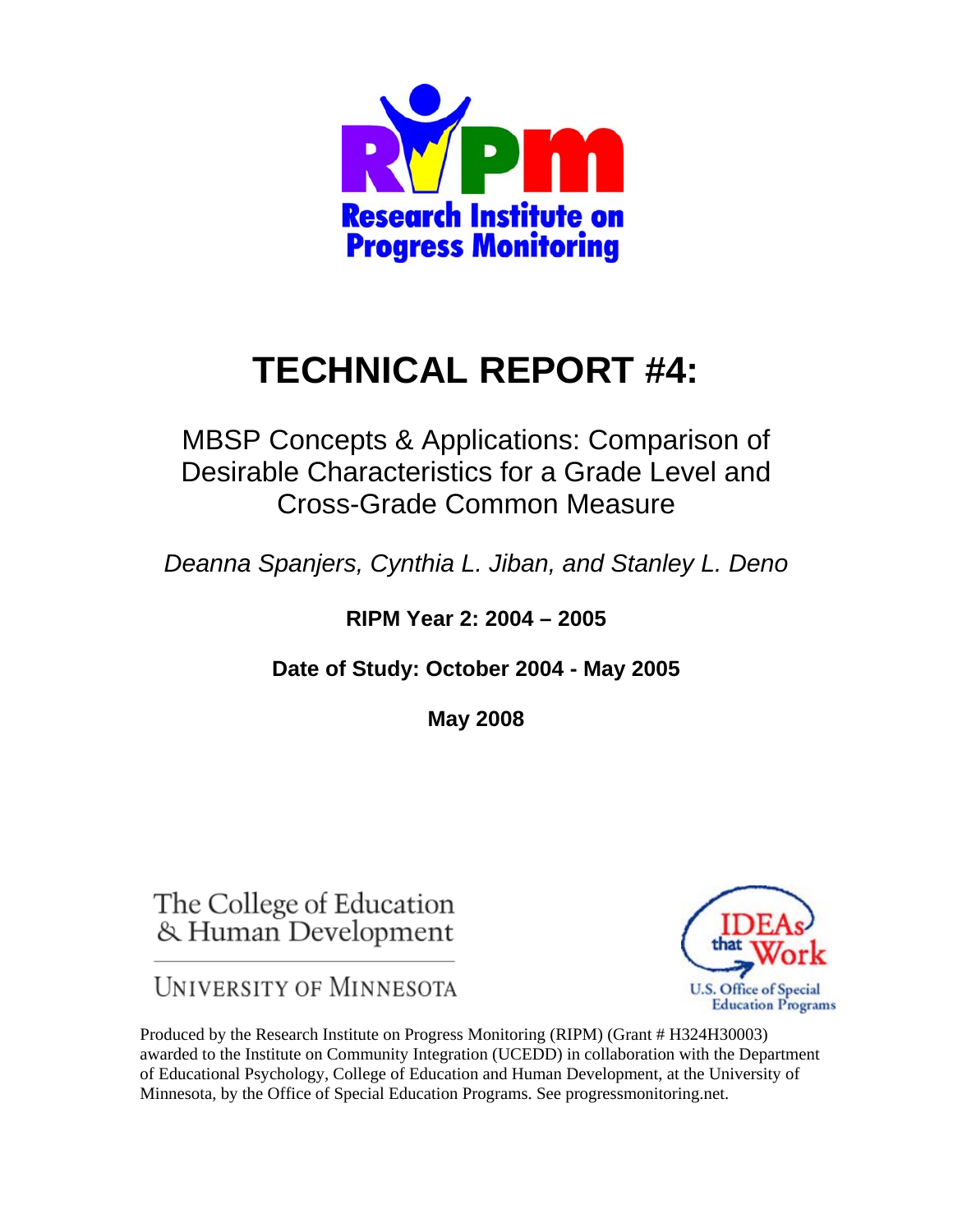

# **TECHNICAL REPORT #4:**

MBSP Concepts & Applications: Comparison of Desirable Characteristics for a Grade Level and Cross-Grade Common Measure

*Deanna Spanjers, Cynthia L. Jiban, and Stanley L. Deno* 

**RIPM Year 2: 2004 – 2005** 

**Date of Study: October 2004 - May 2005** 

**May 2008** 

The College of Education & Human Development

**UNIVERSITY OF MINNESOTA** 



Produced by the Research Institute on Progress Monitoring (RIPM) (Grant # H324H30003) awarded to the Institute on Community Integration (UCEDD) in collaboration with the Department of Educational Psychology, College of Education and Human Development, at the University of Minnesota, by the Office of Special Education Programs. See progressmonitoring.net.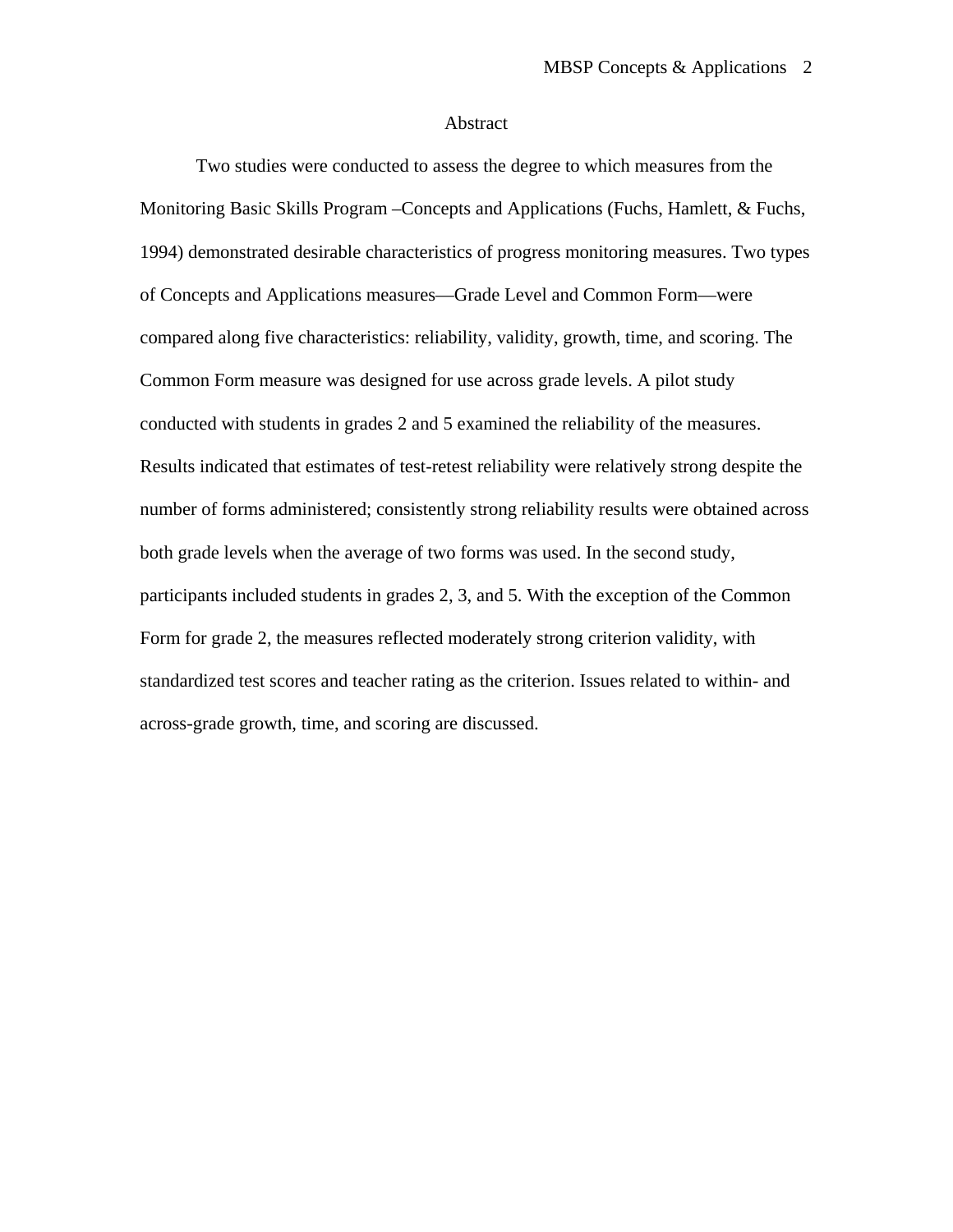#### Abstract

 Two studies were conducted to assess the degree to which measures from the Monitoring Basic Skills Program –Concepts and Applications (Fuchs, Hamlett, & Fuchs, 1994) demonstrated desirable characteristics of progress monitoring measures. Two types of Concepts and Applications measures—Grade Level and Common Form—were compared along five characteristics: reliability, validity, growth, time, and scoring. The Common Form measure was designed for use across grade levels. A pilot study conducted with students in grades 2 and 5 examined the reliability of the measures. Results indicated that estimates of test-retest reliability were relatively strong despite the number of forms administered; consistently strong reliability results were obtained across both grade levels when the average of two forms was used. In the second study, participants included students in grades 2, 3, and 5. With the exception of the Common Form for grade 2, the measures reflected moderately strong criterion validity, with standardized test scores and teacher rating as the criterion. Issues related to within- and across-grade growth, time, and scoring are discussed.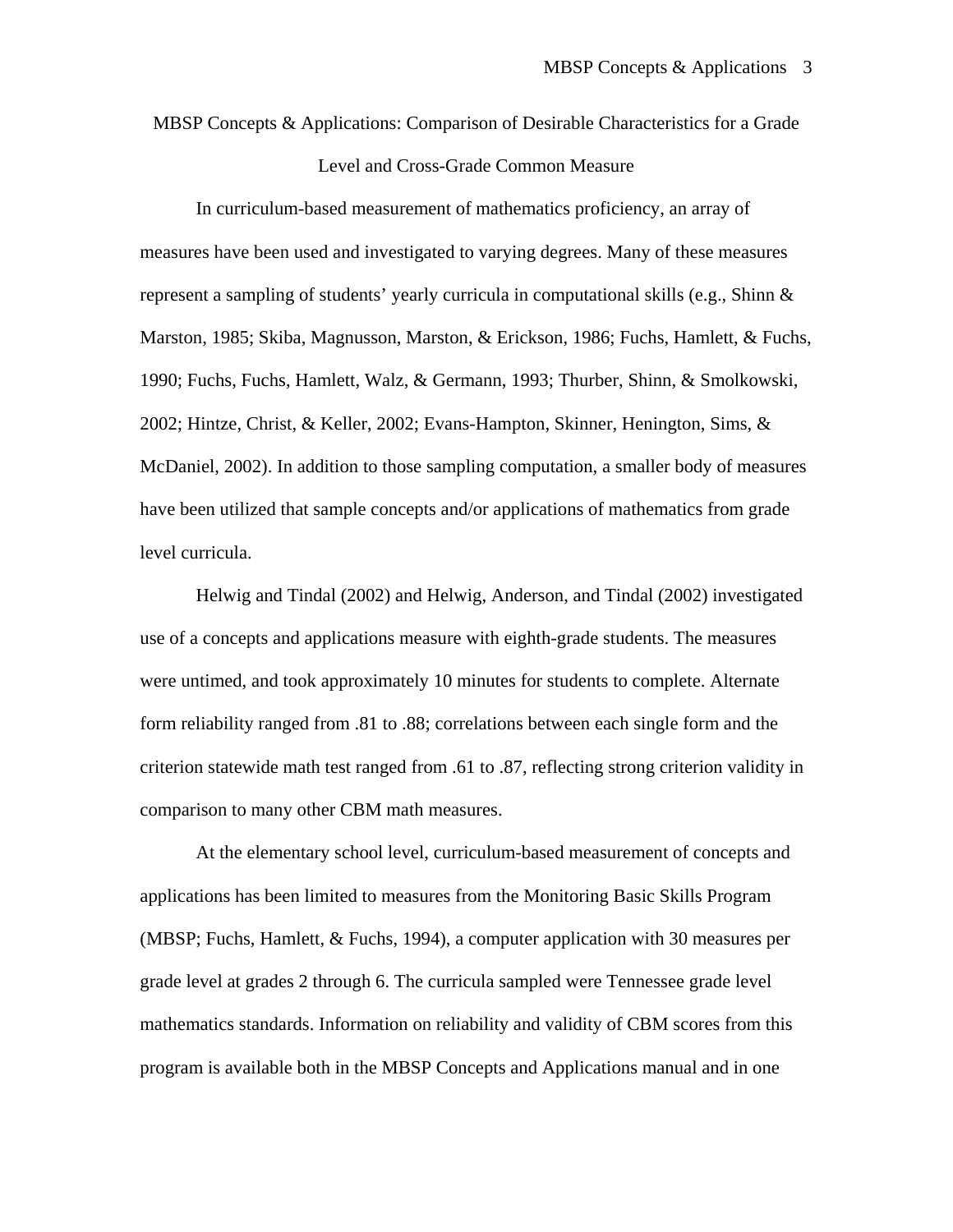MBSP Concepts & Applications: Comparison of Desirable Characteristics for a Grade Level and Cross-Grade Common Measure

In curriculum-based measurement of mathematics proficiency, an array of measures have been used and investigated to varying degrees. Many of these measures represent a sampling of students' yearly curricula in computational skills (e.g., Shinn  $\&$ Marston, 1985; Skiba, Magnusson, Marston, & Erickson, 1986; Fuchs, Hamlett, & Fuchs, 1990; Fuchs, Fuchs, Hamlett, Walz, & Germann, 1993; Thurber, Shinn, & Smolkowski, 2002; Hintze, Christ, & Keller, 2002; Evans-Hampton, Skinner, Henington, Sims, & McDaniel, 2002). In addition to those sampling computation, a smaller body of measures have been utilized that sample concepts and/or applications of mathematics from grade level curricula.

Helwig and Tindal (2002) and Helwig, Anderson, and Tindal (2002) investigated use of a concepts and applications measure with eighth-grade students. The measures were untimed, and took approximately 10 minutes for students to complete. Alternate form reliability ranged from .81 to .88; correlations between each single form and the criterion statewide math test ranged from .61 to .87, reflecting strong criterion validity in comparison to many other CBM math measures.

At the elementary school level, curriculum-based measurement of concepts and applications has been limited to measures from the Monitoring Basic Skills Program (MBSP; Fuchs, Hamlett, & Fuchs, 1994), a computer application with 30 measures per grade level at grades 2 through 6. The curricula sampled were Tennessee grade level mathematics standards. Information on reliability and validity of CBM scores from this program is available both in the MBSP Concepts and Applications manual and in one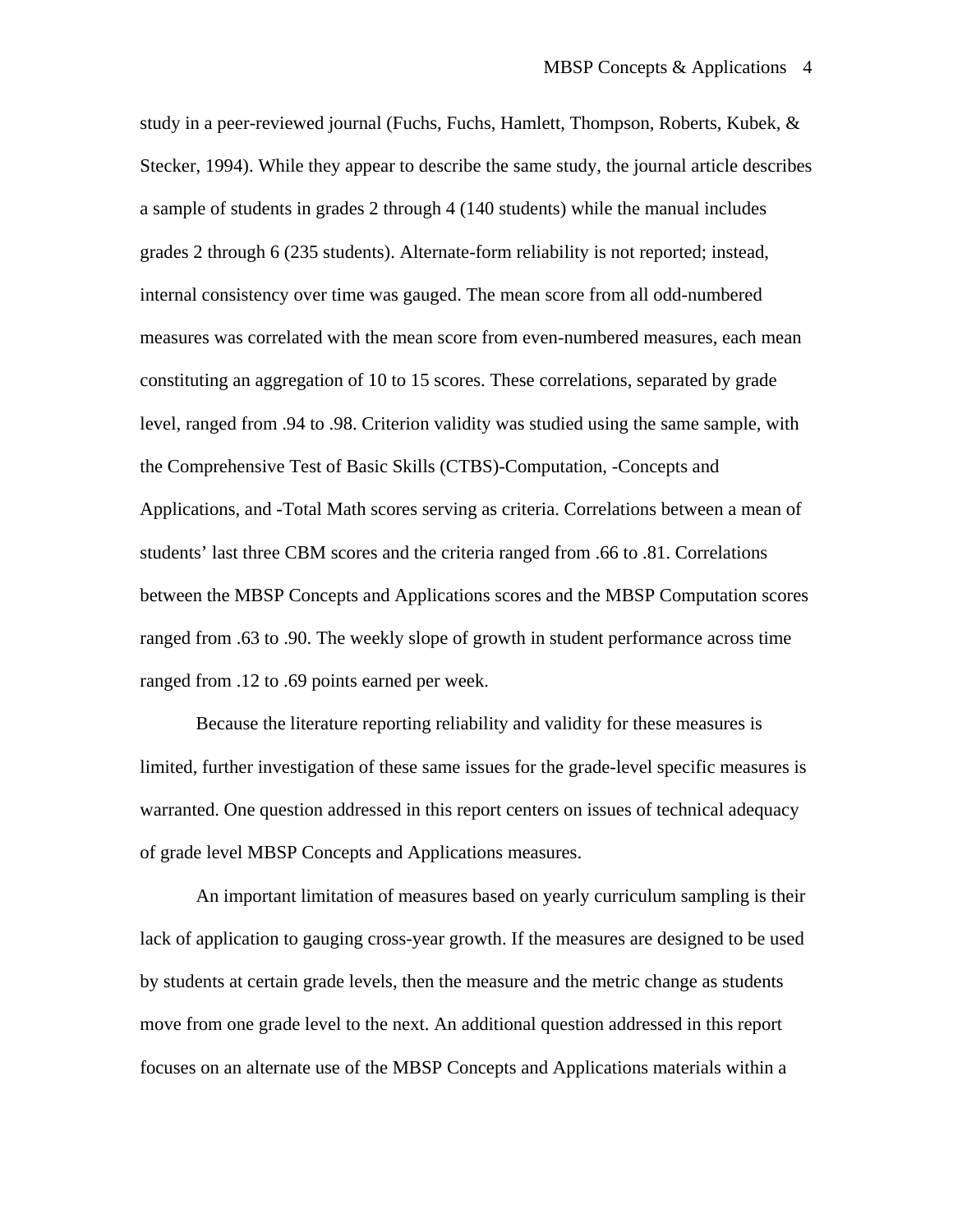study in a peer-reviewed journal (Fuchs, Fuchs, Hamlett, Thompson, Roberts, Kubek, & Stecker, 1994). While they appear to describe the same study, the journal article describes a sample of students in grades 2 through 4 (140 students) while the manual includes grades 2 through 6 (235 students). Alternate-form reliability is not reported; instead, internal consistency over time was gauged. The mean score from all odd-numbered measures was correlated with the mean score from even-numbered measures, each mean constituting an aggregation of 10 to 15 scores. These correlations, separated by grade level, ranged from .94 to .98. Criterion validity was studied using the same sample, with the Comprehensive Test of Basic Skills (CTBS)-Computation, -Concepts and Applications, and -Total Math scores serving as criteria. Correlations between a mean of students' last three CBM scores and the criteria ranged from .66 to .81. Correlations between the MBSP Concepts and Applications scores and the MBSP Computation scores ranged from .63 to .90. The weekly slope of growth in student performance across time ranged from .12 to .69 points earned per week.

Because the literature reporting reliability and validity for these measures is limited, further investigation of these same issues for the grade-level specific measures is warranted. One question addressed in this report centers on issues of technical adequacy of grade level MBSP Concepts and Applications measures.

 An important limitation of measures based on yearly curriculum sampling is their lack of application to gauging cross-year growth. If the measures are designed to be used by students at certain grade levels, then the measure and the metric change as students move from one grade level to the next. An additional question addressed in this report focuses on an alternate use of the MBSP Concepts and Applications materials within a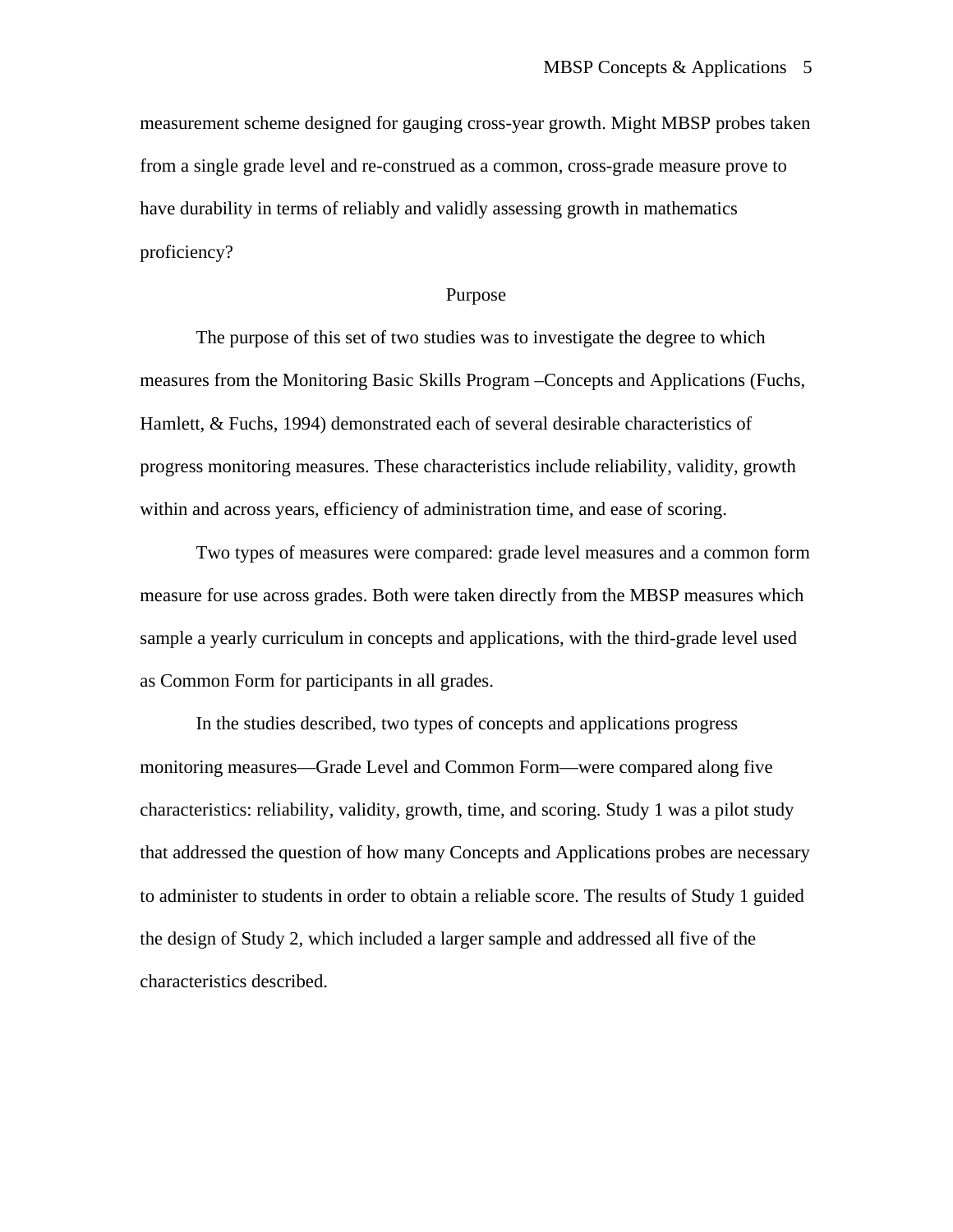measurement scheme designed for gauging cross-year growth. Might MBSP probes taken from a single grade level and re-construed as a common, cross-grade measure prove to have durability in terms of reliably and validly assessing growth in mathematics proficiency?

#### Purpose

The purpose of this set of two studies was to investigate the degree to which measures from the Monitoring Basic Skills Program –Concepts and Applications (Fuchs, Hamlett, & Fuchs, 1994) demonstrated each of several desirable characteristics of progress monitoring measures. These characteristics include reliability, validity, growth within and across years, efficiency of administration time, and ease of scoring.

Two types of measures were compared: grade level measures and a common form measure for use across grades. Both were taken directly from the MBSP measures which sample a yearly curriculum in concepts and applications, with the third-grade level used as Common Form for participants in all grades.

In the studies described, two types of concepts and applications progress monitoring measures—Grade Level and Common Form—were compared along five characteristics: reliability, validity, growth, time, and scoring. Study 1 was a pilot study that addressed the question of how many Concepts and Applications probes are necessary to administer to students in order to obtain a reliable score. The results of Study 1 guided the design of Study 2, which included a larger sample and addressed all five of the characteristics described.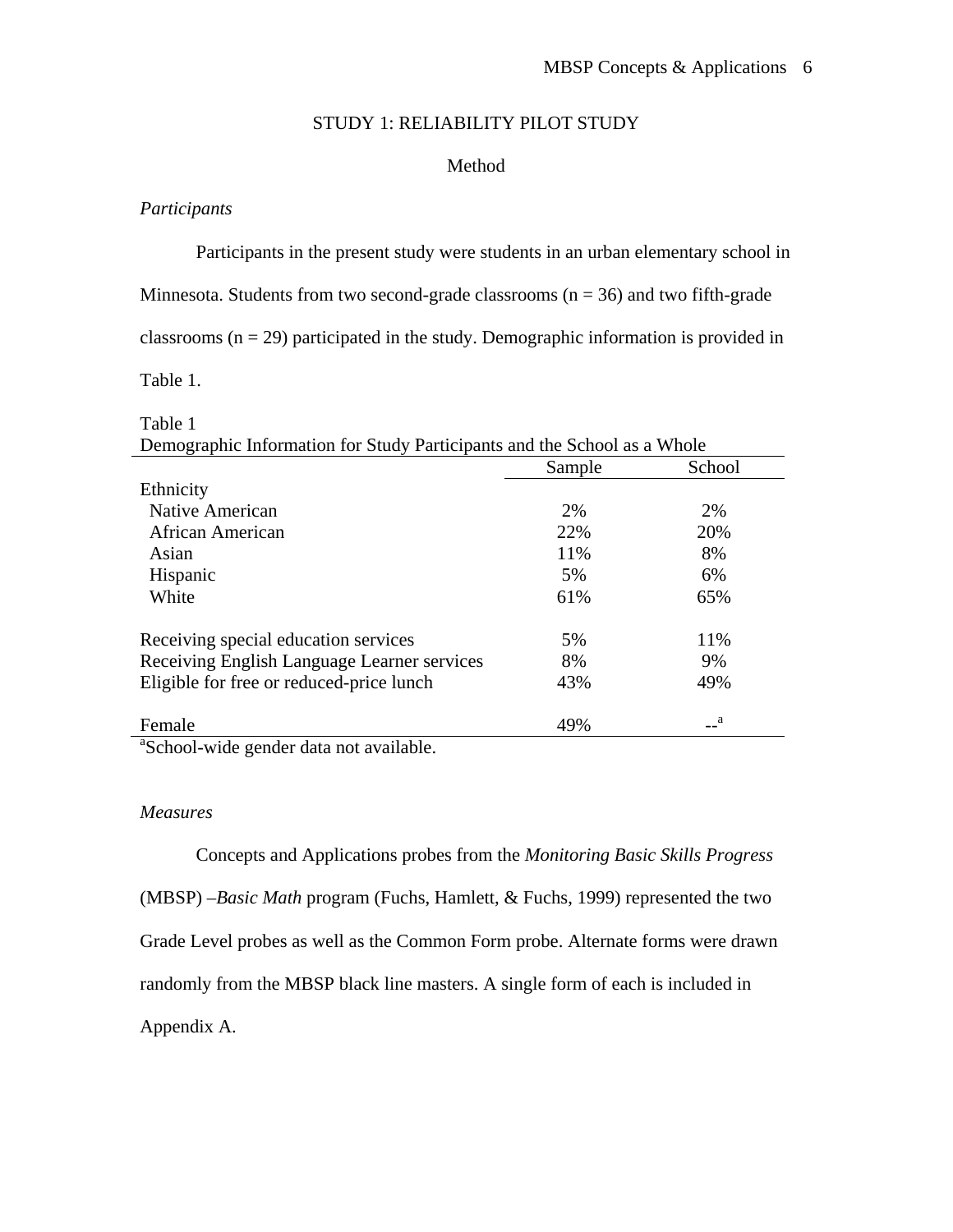# STUDY 1: RELIABILITY PILOT STUDY

## Method

# *Participants*

Participants in the present study were students in an urban elementary school in

Minnesota. Students from two second-grade classrooms  $(n = 36)$  and two fifth-grade

classrooms  $(n = 29)$  participated in the study. Demographic information is provided in

Table 1.

| Demographic Information for Study Participants and the School as a Whole |        |              |  |  |
|--------------------------------------------------------------------------|--------|--------------|--|--|
|                                                                          | Sample | School       |  |  |
| Ethnicity                                                                |        |              |  |  |
| Native American                                                          | 2%     | 2%           |  |  |
| African American                                                         | 22%    | 20%          |  |  |
| Asian                                                                    | 11%    | 8%           |  |  |
| Hispanic                                                                 | 5%     | 6%           |  |  |
| White                                                                    | 61%    | 65%          |  |  |
| Receiving special education services                                     | 5%     | 11%          |  |  |
| Receiving English Language Learner services                              | 8%     | 9%           |  |  |
| Eligible for free or reduced-price lunch                                 | 43%    | 49%          |  |  |
| Female                                                                   | 49%    | $\mathbf{a}$ |  |  |
| $301 \t1 \t1 \t1 \t1 \t1$                                                |        |              |  |  |

# Table 1

<sup>a</sup>School-wide gender data not available.

## *Measures*

Concepts and Applications probes from the *Monitoring Basic Skills Progress* (MBSP) *–Basic Math* program (Fuchs, Hamlett, & Fuchs, 1999) represented the two Grade Level probes as well as the Common Form probe. Alternate forms were drawn randomly from the MBSP black line masters. A single form of each is included in Appendix A.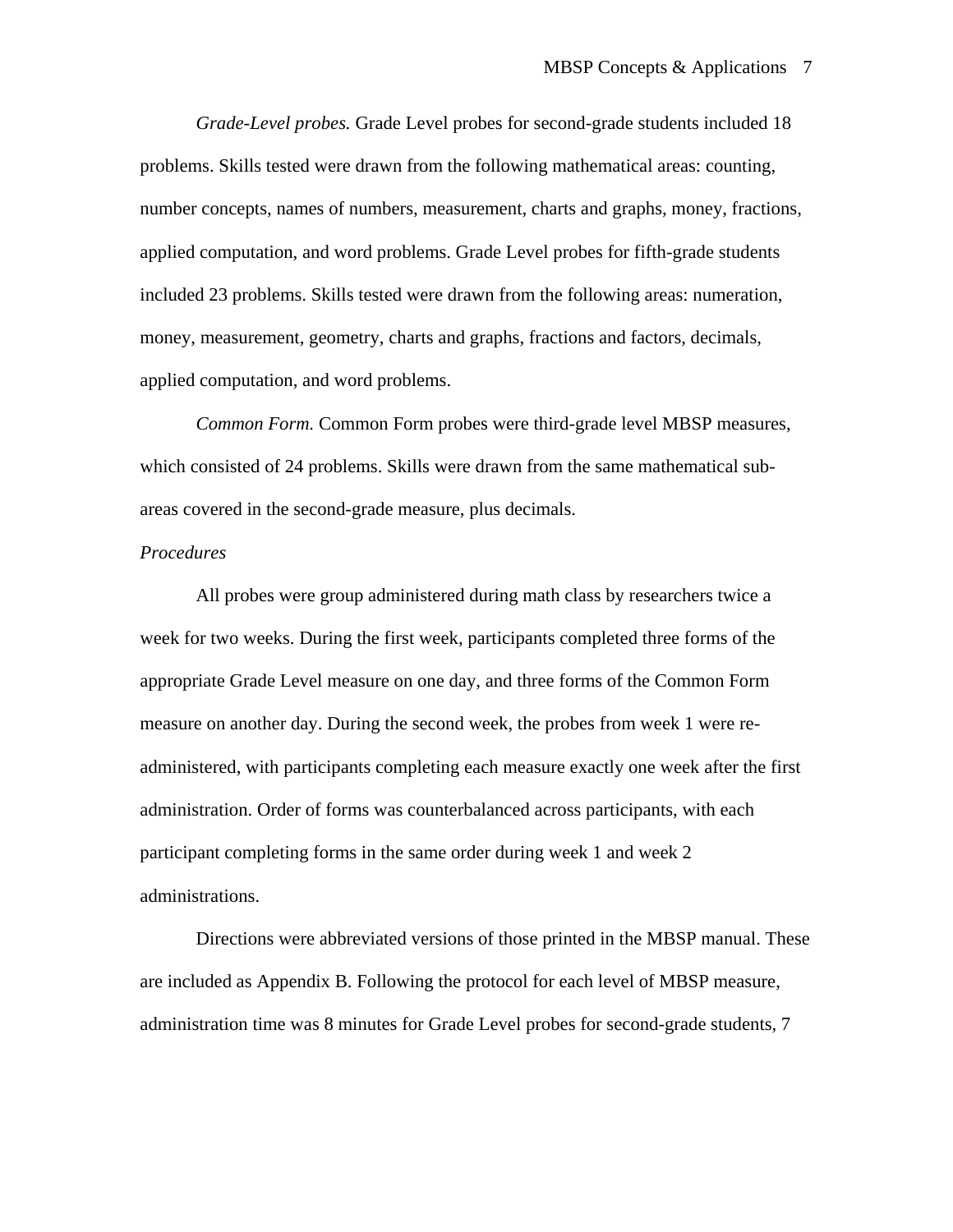*Grade-Level probes.* Grade Level probes for second-grade students included 18 problems. Skills tested were drawn from the following mathematical areas: counting, number concepts, names of numbers, measurement, charts and graphs, money, fractions, applied computation, and word problems. Grade Level probes for fifth-grade students included 23 problems. Skills tested were drawn from the following areas: numeration, money, measurement, geometry, charts and graphs, fractions and factors, decimals, applied computation, and word problems.

*Common Form.* Common Form probes were third-grade level MBSP measures, which consisted of 24 problems. Skills were drawn from the same mathematical subareas covered in the second-grade measure, plus decimals.

#### *Procedures*

All probes were group administered during math class by researchers twice a week for two weeks. During the first week, participants completed three forms of the appropriate Grade Level measure on one day, and three forms of the Common Form measure on another day. During the second week, the probes from week 1 were readministered, with participants completing each measure exactly one week after the first administration. Order of forms was counterbalanced across participants, with each participant completing forms in the same order during week 1 and week 2 administrations.

Directions were abbreviated versions of those printed in the MBSP manual. These are included as Appendix B. Following the protocol for each level of MBSP measure, administration time was 8 minutes for Grade Level probes for second-grade students, 7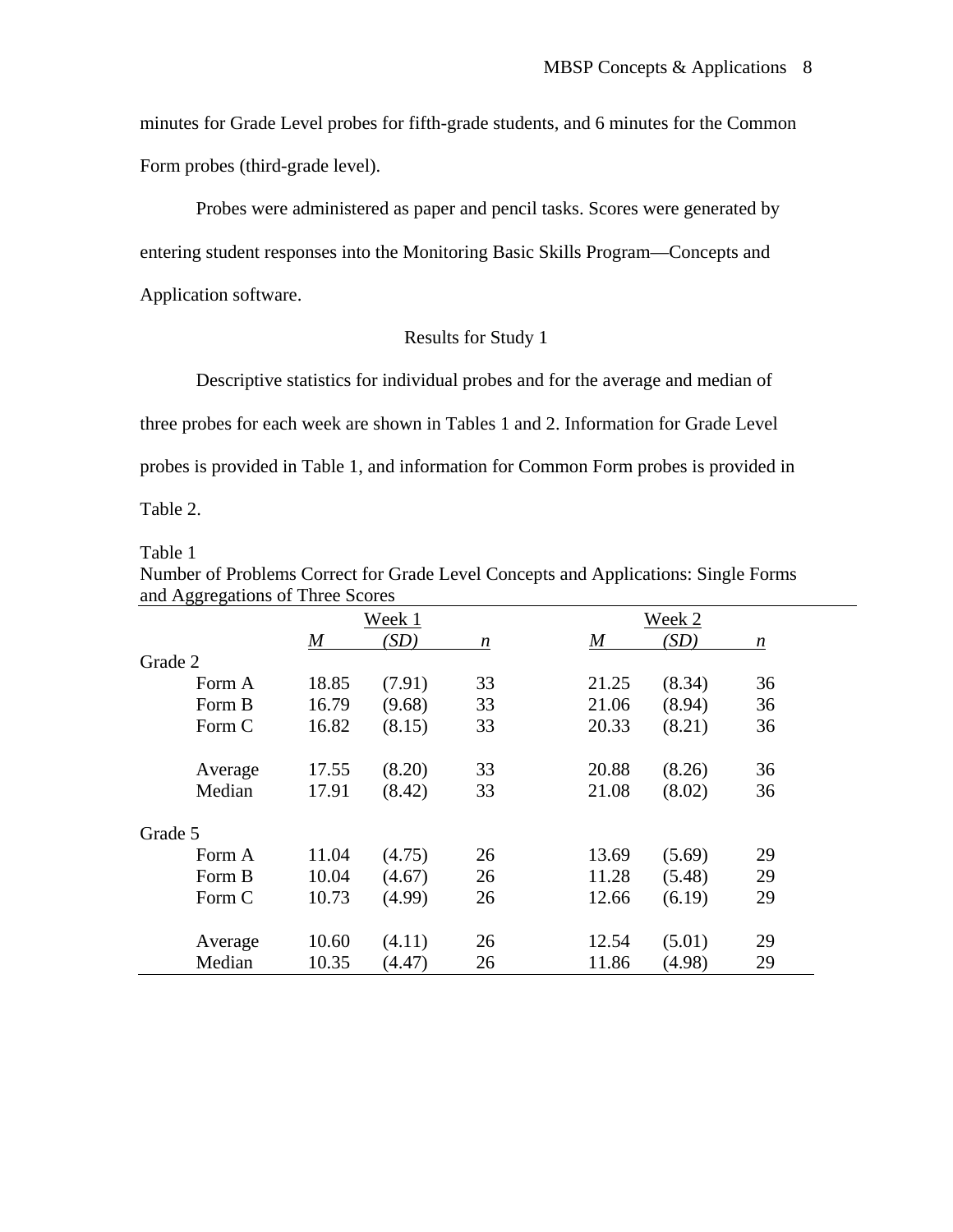minutes for Grade Level probes for fifth-grade students, and 6 minutes for the Common Form probes (third-grade level).

Probes were administered as paper and pencil tasks. Scores were generated by entering student responses into the Monitoring Basic Skills Program—Concepts and Application software.

# Results for Study 1

 Descriptive statistics for individual probes and for the average and median of three probes for each week are shown in Tables 1 and 2. Information for Grade Level probes is provided in Table 1, and information for Common Form probes is provided in Table 2.

Table 1

| Number of Problems Correct for Grade Level Concepts and Applications: Single Forms |  |
|------------------------------------------------------------------------------------|--|
| and Aggregations of Three Scores                                                   |  |

| 00 0    |                  | Week 1 |    |                  | Week 2 |    |  |
|---------|------------------|--------|----|------------------|--------|----|--|
|         | $\boldsymbol{M}$ | (SD)   | n  | $\boldsymbol{M}$ | (SD)   | n  |  |
| Grade 2 |                  |        |    |                  |        |    |  |
| Form A  | 18.85            | (7.91) | 33 | 21.25            | (8.34) | 36 |  |
| Form B  | 16.79            | (9.68) | 33 | 21.06            | (8.94) | 36 |  |
| Form C  | 16.82            | (8.15) | 33 | 20.33            | (8.21) | 36 |  |
| Average | 17.55            | (8.20) | 33 | 20.88            | (8.26) | 36 |  |
| Median  | 17.91            | (8.42) | 33 | 21.08            | (8.02) | 36 |  |
| Grade 5 |                  |        |    |                  |        |    |  |
| Form A  | 11.04            | (4.75) | 26 | 13.69            | (5.69) | 29 |  |
| Form B  | 10.04            | (4.67) | 26 | 11.28            | (5.48) | 29 |  |
| Form C  | 10.73            | (4.99) | 26 | 12.66            | (6.19) | 29 |  |
| Average | 10.60            | (4.11) | 26 | 12.54            | (5.01) | 29 |  |
| Median  | 10.35            | (4.47) | 26 | 11.86            | (4.98) | 29 |  |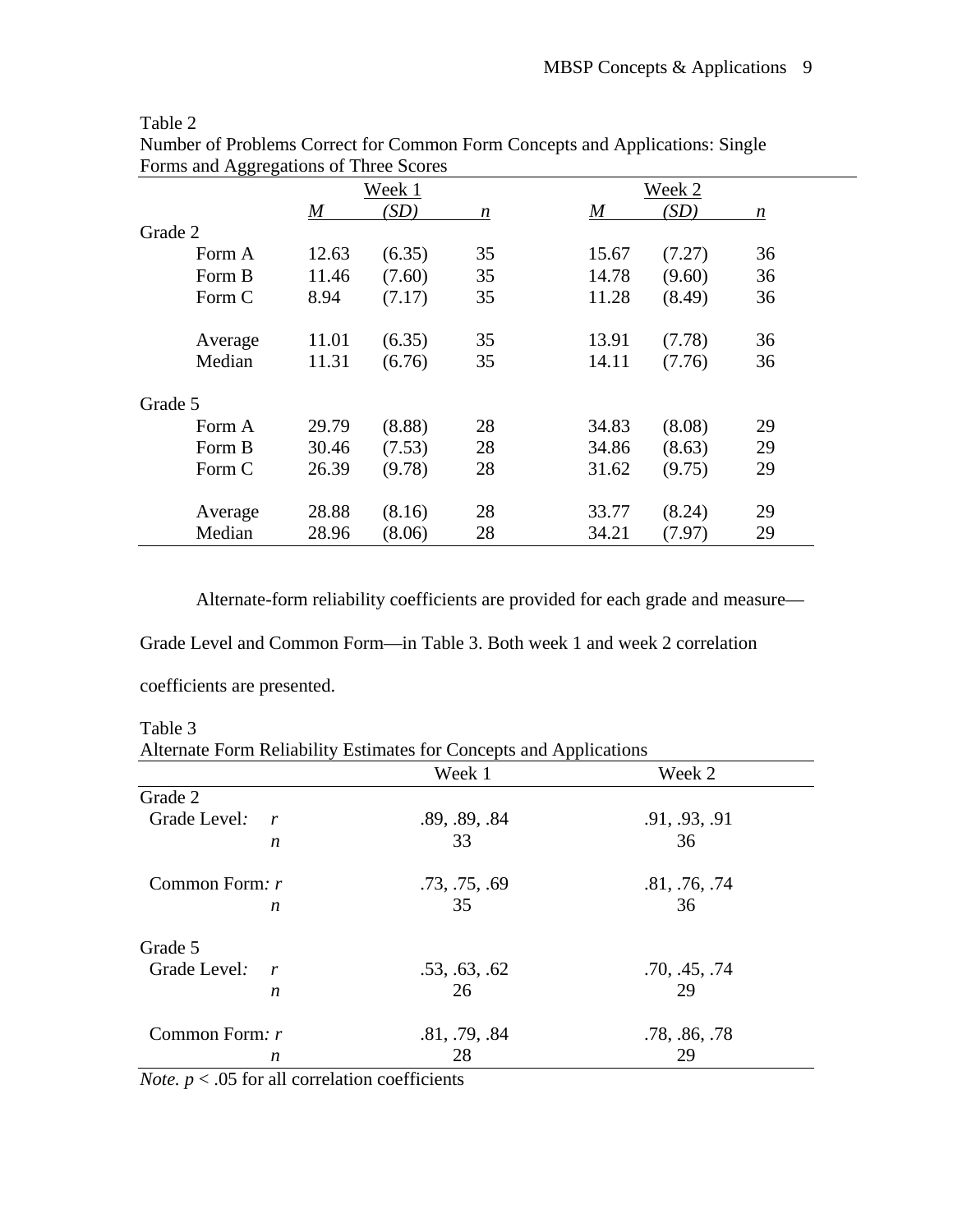# Table 2

|         |       | Week 1 |                  |       | Week 2 |    |
|---------|-------|--------|------------------|-------|--------|----|
|         | M     | (SD)   | $\boldsymbol{n}$ | M     | (SD)   | n  |
| Grade 2 |       |        |                  |       |        |    |
| Form A  | 12.63 | (6.35) | 35               | 15.67 | (7.27) | 36 |
| Form B  | 11.46 | (7.60) | 35               | 14.78 | (9.60) | 36 |
| Form C  | 8.94  | (7.17) | 35               | 11.28 | (8.49) | 36 |
| Average | 11.01 | (6.35) | 35               | 13.91 | (7.78) | 36 |
| Median  | 11.31 | (6.76) | 35               | 14.11 | (7.76) | 36 |
| Grade 5 |       |        |                  |       |        |    |
| Form A  | 29.79 | (8.88) | 28               | 34.83 | (8.08) | 29 |
| Form B  | 30.46 | (7.53) | 28               | 34.86 | (8.63) | 29 |
| Form C  | 26.39 | (9.78) | 28               | 31.62 | (9.75) | 29 |
| Average | 28.88 | (8.16) | 28               | 33.77 | (8.24) | 29 |
| Median  | 28.96 | (8.06) | 28               | 34.21 | (7.97) | 29 |

Number of Problems Correct for Common Form Concepts and Applications: Single Forms and Aggregations of Three Scores

Alternate-form reliability coefficients are provided for each grade and measure—

Grade Level and Common Form—in Table 3. Both week 1 and week 2 correlation

coefficients are presented.

Table 3

Alternate Form Reliability Estimates for Concepts and Applications

|                                  | Week 1        | Week 2        |
|----------------------------------|---------------|---------------|
| Grade 2                          |               |               |
| Grade Level:<br>$\mathbf{r}$     | .89, .89, .84 | .91, .93, .91 |
| n                                | 33            | 36            |
| Common Form: r                   | .73, .75, .69 | .81, .76, .74 |
| n                                | 35            | 36            |
| Grade 5                          |               |               |
| Grade Level:<br>$\boldsymbol{r}$ | .53, .63, .62 | .70, .45, .74 |
| $\boldsymbol{n}$                 | 26            | 29            |
| Common Form: r                   | .81, .79, .84 | .78, .86, .78 |
| n                                | 28            | 29            |

*Note.*  $p < .05$  for all correlation coefficients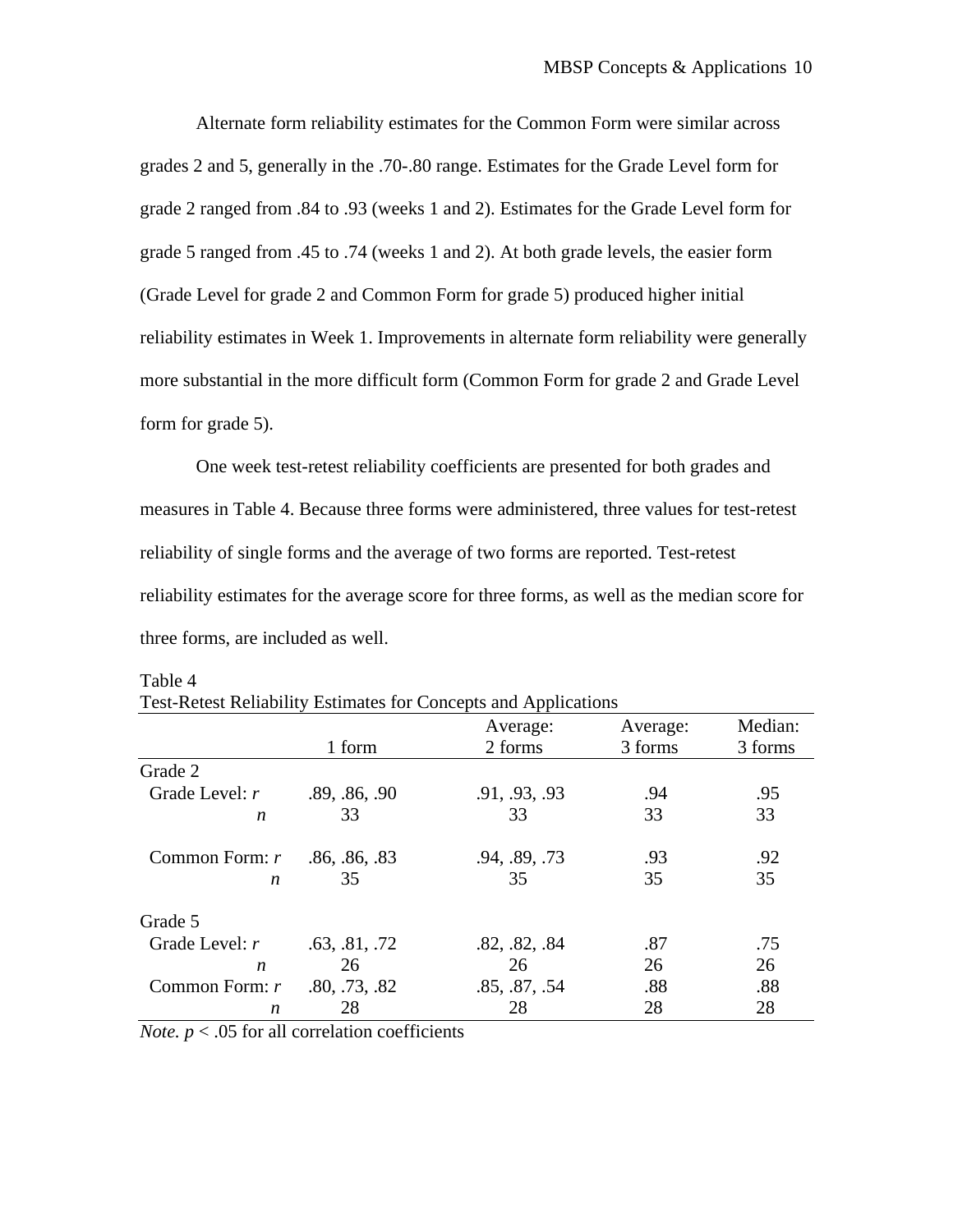Alternate form reliability estimates for the Common Form were similar across grades 2 and 5, generally in the .70-.80 range. Estimates for the Grade Level form for grade 2 ranged from .84 to .93 (weeks 1 and 2). Estimates for the Grade Level form for grade 5 ranged from .45 to .74 (weeks 1 and 2). At both grade levels, the easier form (Grade Level for grade 2 and Common Form for grade 5) produced higher initial reliability estimates in Week 1. Improvements in alternate form reliability were generally more substantial in the more difficult form (Common Form for grade 2 and Grade Level form for grade 5).

One week test-retest reliability coefficients are presented for both grades and measures in Table 4. Because three forms were administered, three values for test-retest reliability of single forms and the average of two forms are reported. Test-retest reliability estimates for the average score for three forms, as well as the median score for three forms, are included as well.

|                  |               | Average:      | Average: | Median: |
|------------------|---------------|---------------|----------|---------|
|                  | 1 form        | 2 forms       | 3 forms  | 3 forms |
| Grade 2          |               |               |          |         |
| Grade Level: $r$ | .89, .86, .90 | .91, .93, .93 | .94      | .95     |
| n                | 33            | 33            | 33       | 33      |
| Common Form: r   | .86, .86, .83 | .94, .89, .73 | .93      | .92     |
| n                | 35            | 35            | 35       | 35      |
| Grade 5          |               |               |          |         |
| Grade Level: $r$ | .63, .81, .72 | .82, .82, .84 | .87      | .75     |
| n                | 26            | 26            | 26       | 26      |
| Common Form: r   | .80, .73, .82 | .85, .87, .54 | .88      | .88     |
| n                | 28            | 28            | 28       | 28      |

Table 4

| Test-Retest Reliability Estimates for Concepts and Applications |  |  |
|-----------------------------------------------------------------|--|--|
|                                                                 |  |  |

*Note.*  $p < .05$  for all correlation coefficients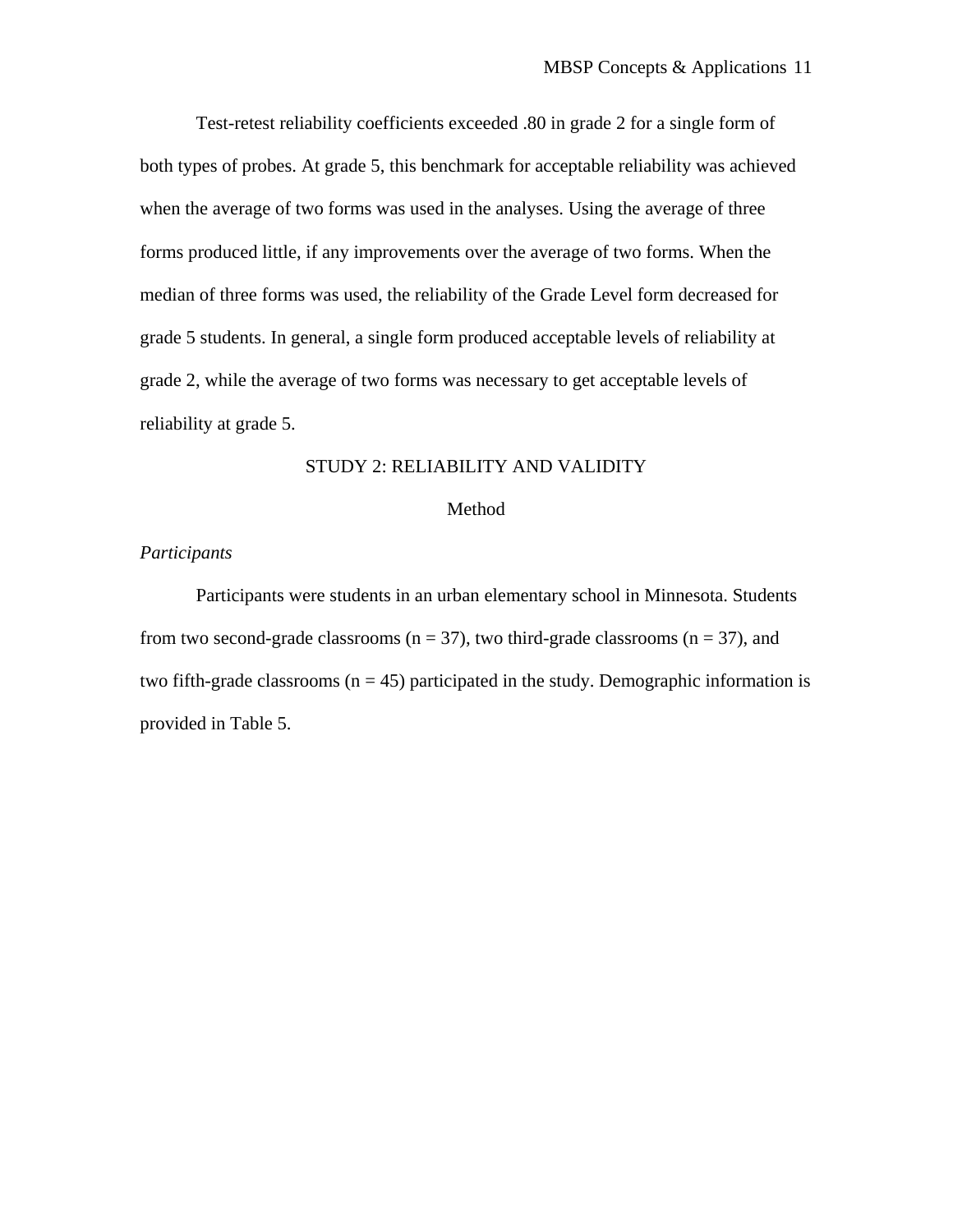Test-retest reliability coefficients exceeded .80 in grade 2 for a single form of both types of probes. At grade 5, this benchmark for acceptable reliability was achieved when the average of two forms was used in the analyses. Using the average of three forms produced little, if any improvements over the average of two forms. When the median of three forms was used, the reliability of the Grade Level form decreased for grade 5 students. In general, a single form produced acceptable levels of reliability at grade 2, while the average of two forms was necessary to get acceptable levels of reliability at grade 5.

# STUDY 2: RELIABILITY AND VALIDITY

#### Method

#### *Participants*

Participants were students in an urban elementary school in Minnesota. Students from two second-grade classrooms ( $n = 37$ ), two third-grade classrooms ( $n = 37$ ), and two fifth-grade classrooms ( $n = 45$ ) participated in the study. Demographic information is provided in Table 5.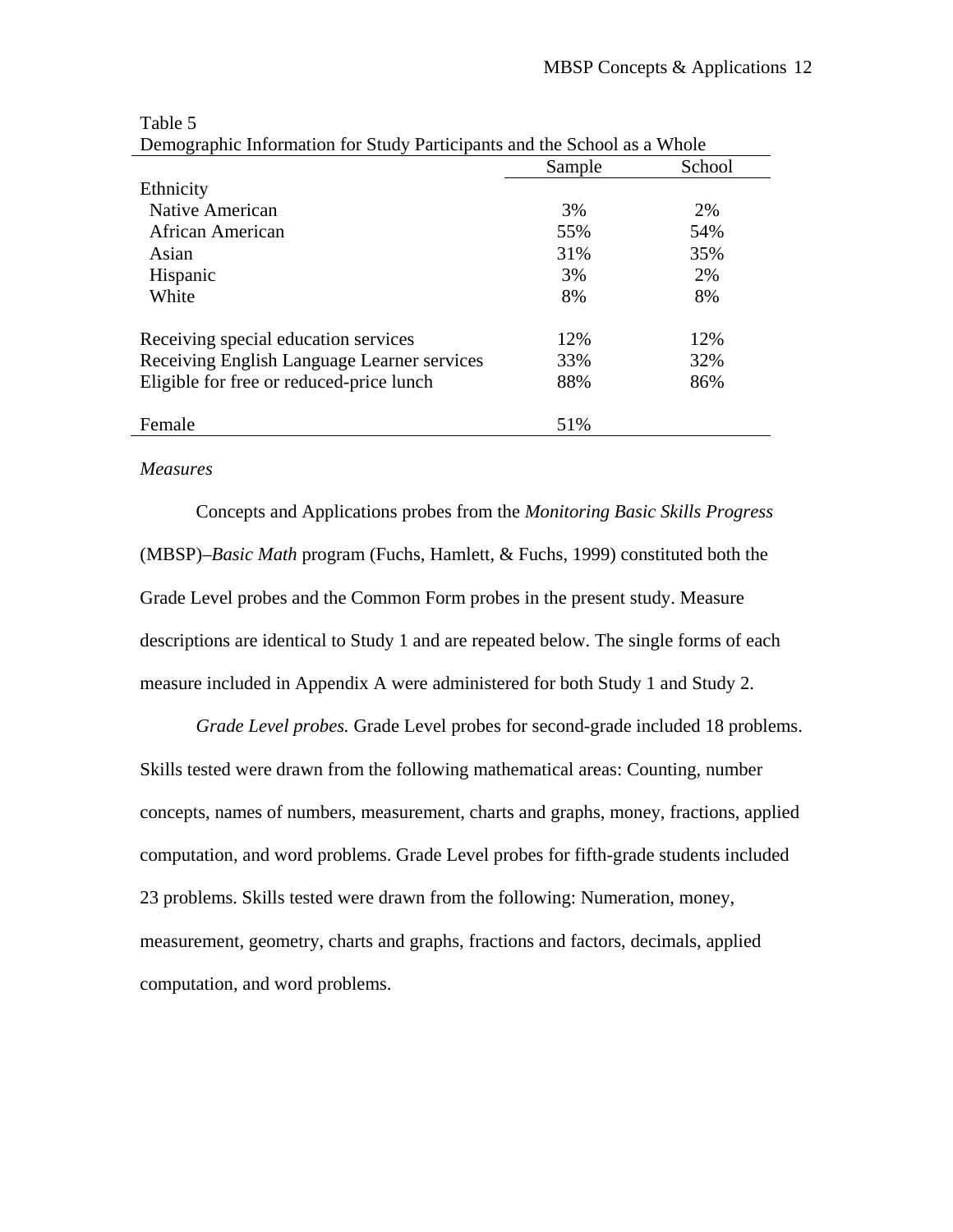|                                             | Sample | School |
|---------------------------------------------|--------|--------|
| Ethnicity                                   |        |        |
| Native American                             | 3%     | 2%     |
| African American                            | 55%    | 54%    |
| Asian                                       | 31%    | 35%    |
| Hispanic                                    | 3%     | 2%     |
| White                                       | 8%     | 8%     |
| Receiving special education services        | 12%    | 12%    |
| Receiving English Language Learner services | 33%    | 32%    |
| Eligible for free or reduced-price lunch    | 88%    | 86%    |
| Female                                      | 51%    |        |

Table 5 Demographic Information for Study Participants and the School as a Whole

#### *Measures*

Concepts and Applications probes from the *Monitoring Basic Skills Progress* (MBSP)*–Basic Math* program (Fuchs, Hamlett, & Fuchs, 1999) constituted both the Grade Level probes and the Common Form probes in the present study. Measure descriptions are identical to Study 1 and are repeated below. The single forms of each measure included in Appendix A were administered for both Study 1 and Study 2.

*Grade Level probes.* Grade Level probes for second-grade included 18 problems. Skills tested were drawn from the following mathematical areas: Counting, number concepts, names of numbers, measurement, charts and graphs, money, fractions, applied computation, and word problems. Grade Level probes for fifth-grade students included 23 problems. Skills tested were drawn from the following: Numeration, money, measurement, geometry, charts and graphs, fractions and factors, decimals, applied computation, and word problems.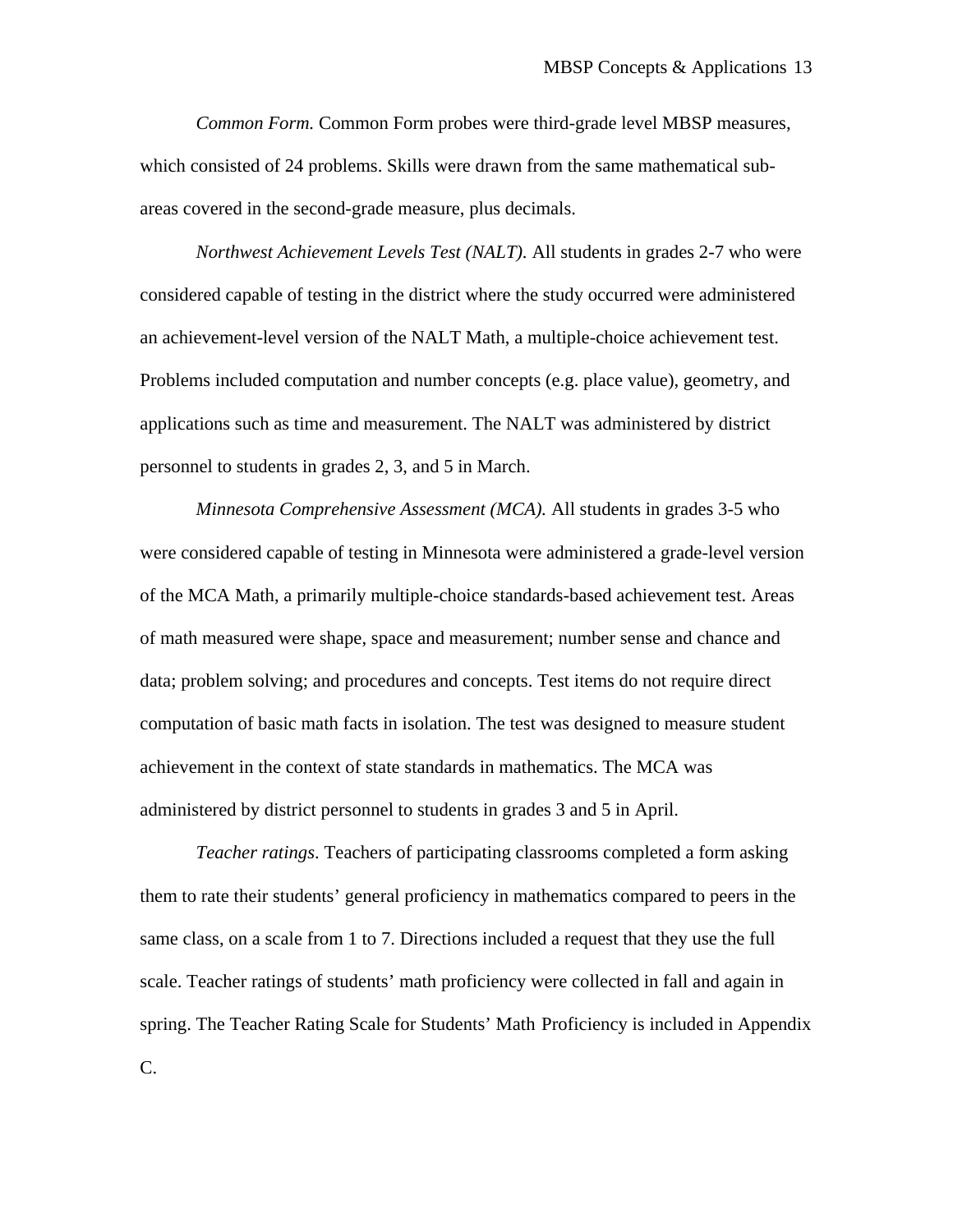*Common Form.* Common Form probes were third-grade level MBSP measures, which consisted of 24 problems. Skills were drawn from the same mathematical subareas covered in the second-grade measure, plus decimals.

*Northwest Achievement Levels Test (NALT).* All students in grades 2-7 who were considered capable of testing in the district where the study occurred were administered an achievement-level version of the NALT Math, a multiple-choice achievement test. Problems included computation and number concepts (e.g. place value), geometry, and applications such as time and measurement. The NALT was administered by district personnel to students in grades 2, 3, and 5 in March.

*Minnesota Comprehensive Assessment (MCA).* All students in grades 3-5 who were considered capable of testing in Minnesota were administered a grade-level version of the MCA Math, a primarily multiple-choice standards-based achievement test. Areas of math measured were shape, space and measurement; number sense and chance and data; problem solving; and procedures and concepts. Test items do not require direct computation of basic math facts in isolation. The test was designed to measure student achievement in the context of state standards in mathematics. The MCA was administered by district personnel to students in grades 3 and 5 in April.

*Teacher ratings*. Teachers of participating classrooms completed a form asking them to rate their students' general proficiency in mathematics compared to peers in the same class, on a scale from 1 to 7. Directions included a request that they use the full scale. Teacher ratings of students' math proficiency were collected in fall and again in spring. The Teacher Rating Scale for Students' Math Proficiency is included in Appendix C.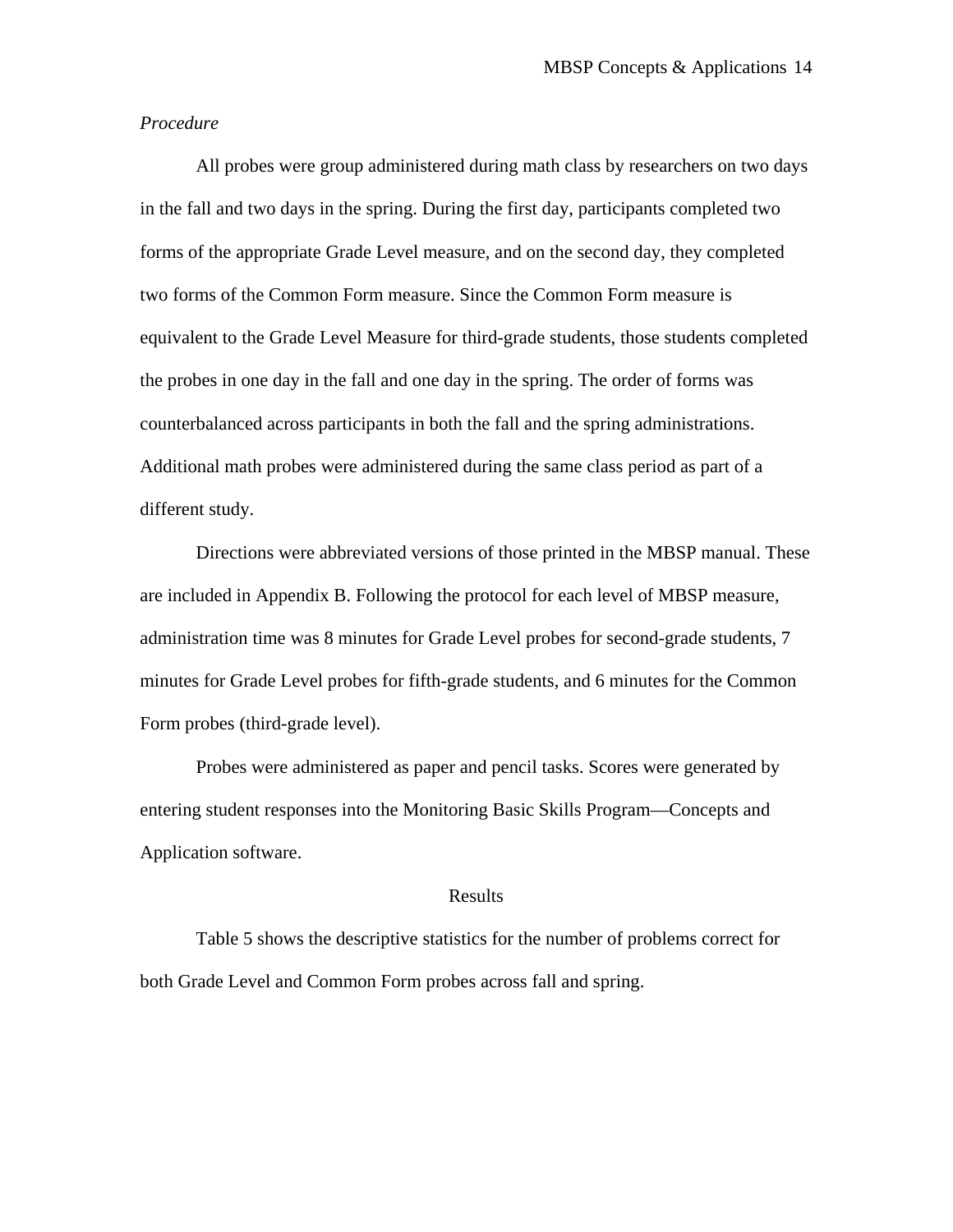#### *Procedure*

All probes were group administered during math class by researchers on two days in the fall and two days in the spring. During the first day, participants completed two forms of the appropriate Grade Level measure, and on the second day, they completed two forms of the Common Form measure. Since the Common Form measure is equivalent to the Grade Level Measure for third-grade students, those students completed the probes in one day in the fall and one day in the spring. The order of forms was counterbalanced across participants in both the fall and the spring administrations. Additional math probes were administered during the same class period as part of a different study.

Directions were abbreviated versions of those printed in the MBSP manual. These are included in Appendix B. Following the protocol for each level of MBSP measure, administration time was 8 minutes for Grade Level probes for second-grade students, 7 minutes for Grade Level probes for fifth-grade students, and 6 minutes for the Common Form probes (third-grade level).

Probes were administered as paper and pencil tasks. Scores were generated by entering student responses into the Monitoring Basic Skills Program—Concepts and Application software.

#### Results

Table 5 shows the descriptive statistics for the number of problems correct for both Grade Level and Common Form probes across fall and spring.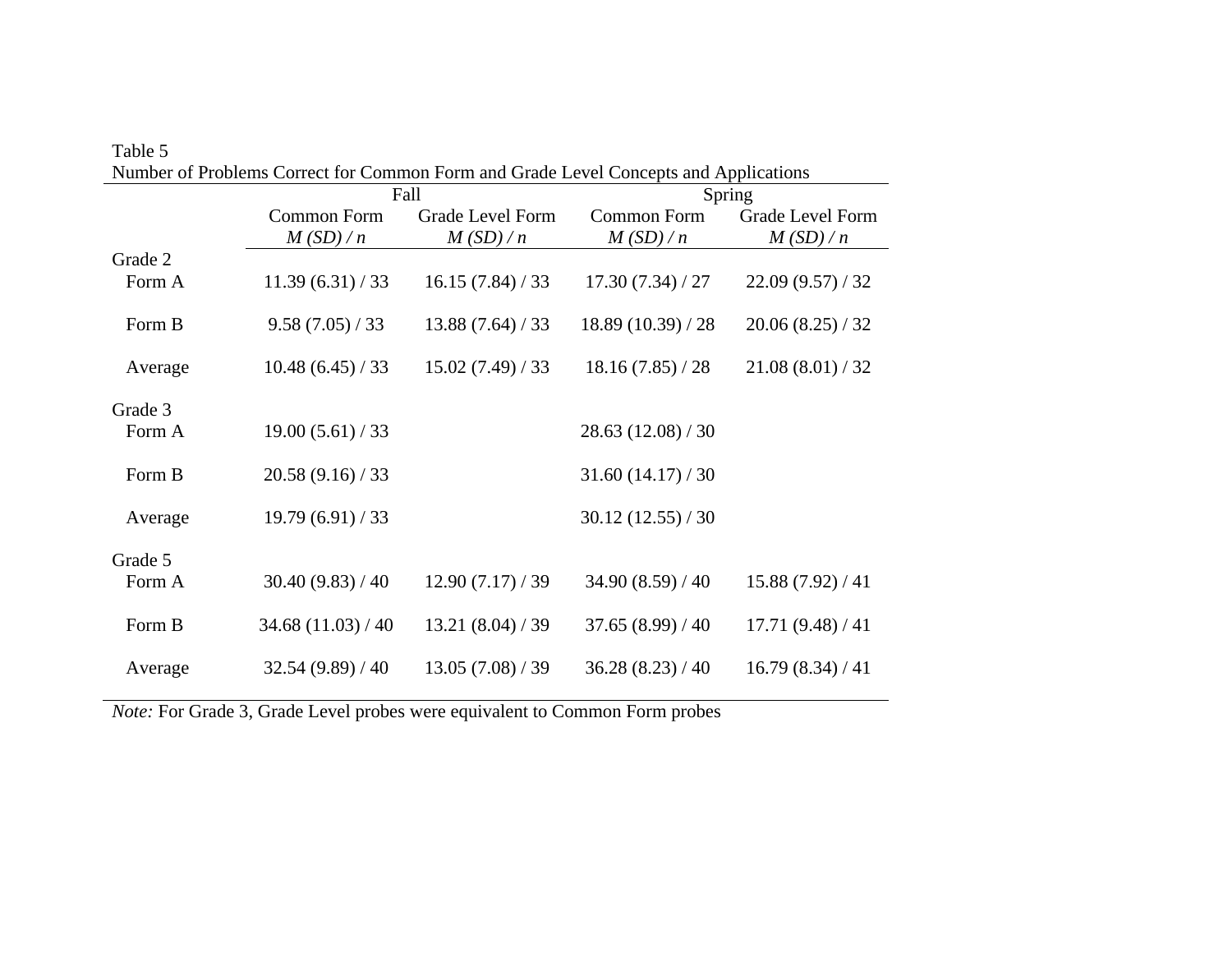|         | Number of Problems Correct for Common Form and Grade Level Concepts and Applications |                         |                    |                         |  |  |  |
|---------|--------------------------------------------------------------------------------------|-------------------------|--------------------|-------------------------|--|--|--|
|         | Fall                                                                                 |                         | Spring             |                         |  |  |  |
|         | Common Form                                                                          | <b>Grade Level Form</b> | <b>Common Form</b> | <b>Grade Level Form</b> |  |  |  |
|         | M(SD)/n                                                                              | M(SD)/n                 | M(SD)/n            | M(SD)/n                 |  |  |  |
| Grade 2 |                                                                                      |                         |                    |                         |  |  |  |
| Form A  | 11.39(6.31)/33                                                                       | 16.15(7.84)/33          | 17.30(7.34)/27     | 22.09(9.57)/32          |  |  |  |
| Form B  | 9.58(7.05)/33                                                                        | 13.88(7.64)/33          | 18.89 (10.39) / 28 | 20.06(8.25)/32          |  |  |  |
| Average | 10.48(6.45)/33                                                                       | 15.02(7.49)/33          | 18.16(7.85)/28     | 21.08(8.01)/32          |  |  |  |
| Grade 3 |                                                                                      |                         |                    |                         |  |  |  |
| Form A  | 19.00(5.61)/33                                                                       |                         | 28.63(12.08)/30    |                         |  |  |  |
|         |                                                                                      |                         |                    |                         |  |  |  |
| Form B  | 20.58(9.16)/33                                                                       |                         | 31.60(14.17)/30    |                         |  |  |  |
|         |                                                                                      |                         |                    |                         |  |  |  |
| Average | 19.79(6.91)/33                                                                       |                         | 30.12(12.55)/30    |                         |  |  |  |
| Grade 5 |                                                                                      |                         |                    |                         |  |  |  |
| Form A  | 30.40(9.83)/40                                                                       | 12.90(7.17)/39          | 34.90(8.59)/40     | 15.88(7.92)/41          |  |  |  |
|         |                                                                                      |                         |                    |                         |  |  |  |
| Form B  | 34.68(11.03)/40                                                                      | 13.21(8.04)/39          | 37.65(8.99)/40     | 17.71(9.48)/41          |  |  |  |
|         |                                                                                      |                         |                    |                         |  |  |  |
| Average | 32.54(9.89)/40                                                                       | 13.05(7.08)/39          | 36.28(8.23)/40     | 16.79(8.34)/41          |  |  |  |
|         |                                                                                      |                         |                    |                         |  |  |  |

| Table 5                                                                              |  |
|--------------------------------------------------------------------------------------|--|
| Number of Problems Correct for Common Form and Grade Level Concepts and Applications |  |

*Note:* For Grade 3, Grade Level probes were equivalent to Common Form probes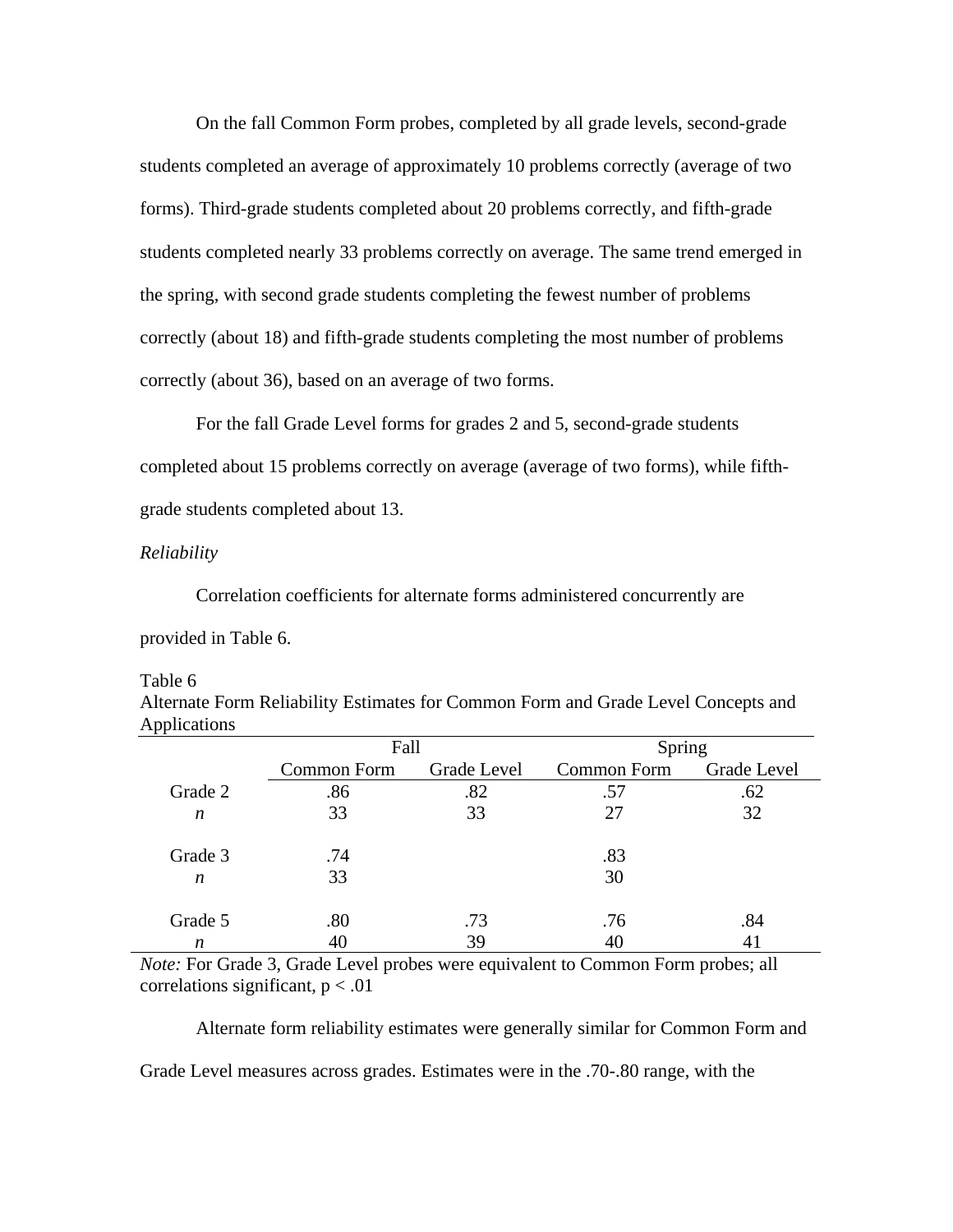On the fall Common Form probes, completed by all grade levels, second-grade students completed an average of approximately 10 problems correctly (average of two forms). Third-grade students completed about 20 problems correctly, and fifth-grade students completed nearly 33 problems correctly on average. The same trend emerged in the spring, with second grade students completing the fewest number of problems correctly (about 18) and fifth-grade students completing the most number of problems correctly (about 36), based on an average of two forms.

For the fall Grade Level forms for grades 2 and 5, second-grade students completed about 15 problems correctly on average (average of two forms), while fifthgrade students completed about 13.

#### *Reliability*

Correlation coefficients for alternate forms administered concurrently are provided in Table 6.

| Applications     |             |             |             |             |  |
|------------------|-------------|-------------|-------------|-------------|--|
|                  | Fall        |             | Spring      |             |  |
|                  | Common Form | Grade Level | Common Form | Grade Level |  |
| Grade 2          | .86         | .82         | .57         | .62         |  |
| $\boldsymbol{n}$ | 33          | 33          | 27          | 32          |  |
| Grade 3          | .74         |             | .83         |             |  |
| $\boldsymbol{n}$ | 33          |             | 30          |             |  |
| Grade 5          | .80         | .73         | .76         | .84         |  |
| n                | 40          | 39          | 40          |             |  |

Table 6

Alternate Form Reliability Estimates for Common Form and Grade Level Concepts and Applications

*Note:* For Grade 3, Grade Level probes were equivalent to Common Form probes; all correlations significant,  $p < .01$ 

 Alternate form reliability estimates were generally similar for Common Form and Grade Level measures across grades. Estimates were in the .70-.80 range, with the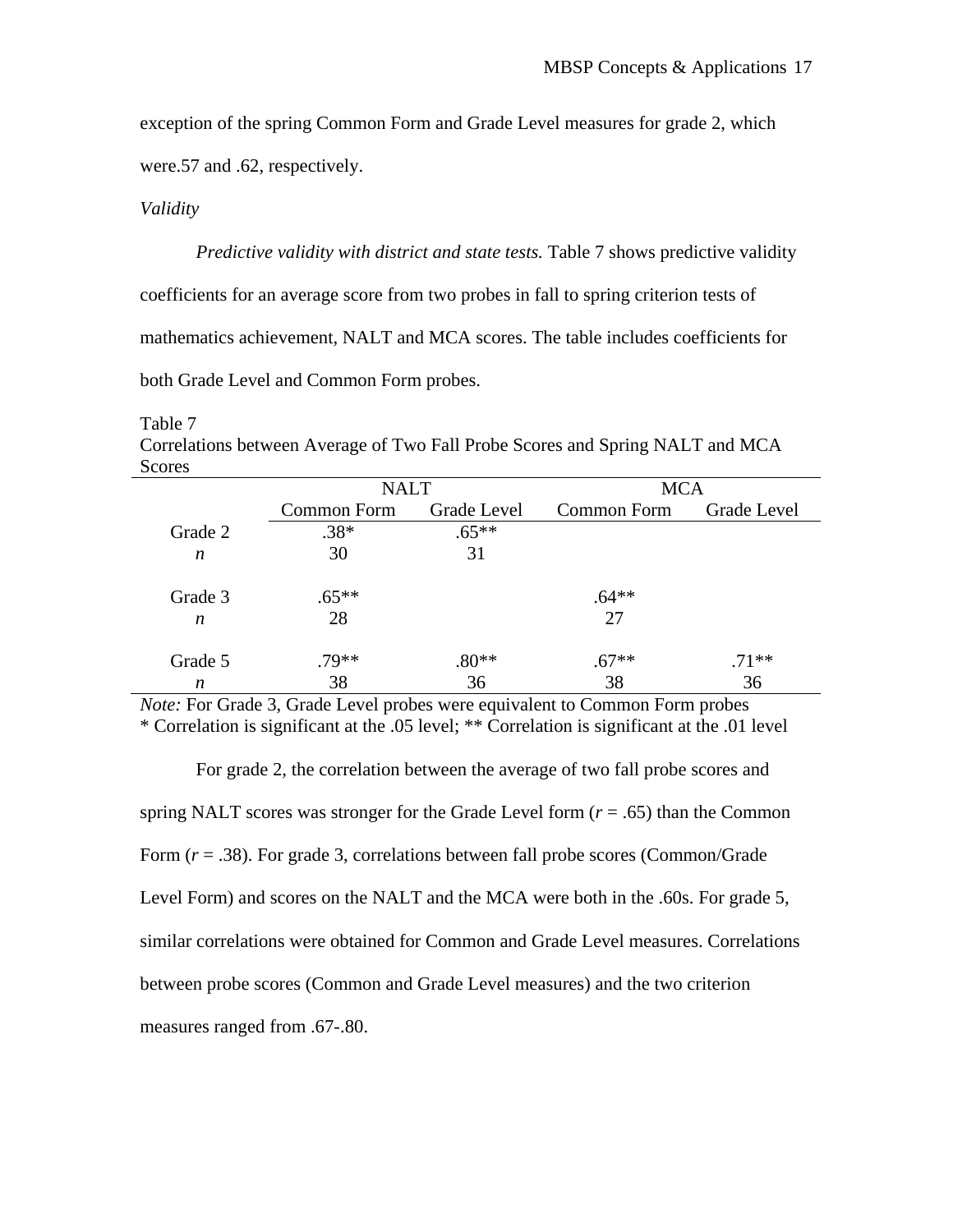exception of the spring Common Form and Grade Level measures for grade 2, which were.57 and .62, respectively.

### *Validity*

*Predictive validity with district and state tests.* Table 7 shows predictive validity coefficients for an average score from two probes in fall to spring criterion tests of mathematics achievement, NALT and MCA scores. The table includes coefficients for both Grade Level and Common Form probes.

Table 7 Correlations between Average of Two Fall Probe Scores and Spring NALT and MCA Scores

|                  | <b>NALT</b> |             | <b>MCA</b>  |             |
|------------------|-------------|-------------|-------------|-------------|
|                  | Common Form | Grade Level | Common Form | Grade Level |
| Grade 2          | $.38*$      | $.65**$     |             |             |
| $\boldsymbol{n}$ | 30          | 31          |             |             |
|                  |             |             |             |             |
| Grade 3          | $.65**$     |             | $.64**$     |             |
| $\boldsymbol{n}$ | 28          |             | 27          |             |
|                  |             |             |             |             |
| Grade 5          | $.79**$     | $.80**$     | $.67**$     | $.71**$     |
| n                | 38          | 36          | 38          | 36          |

*Note:* For Grade 3, Grade Level probes were equivalent to Common Form probes \* Correlation is significant at the .05 level; \*\* Correlation is significant at the .01 level

For grade 2, the correlation between the average of two fall probe scores and spring NALT scores was stronger for the Grade Level form  $(r = .65)$  than the Common Form (*r* = .38). For grade 3, correlations between fall probe scores (Common/Grade Level Form) and scores on the NALT and the MCA were both in the .60s. For grade 5, similar correlations were obtained for Common and Grade Level measures. Correlations between probe scores (Common and Grade Level measures) and the two criterion measures ranged from .67-.80.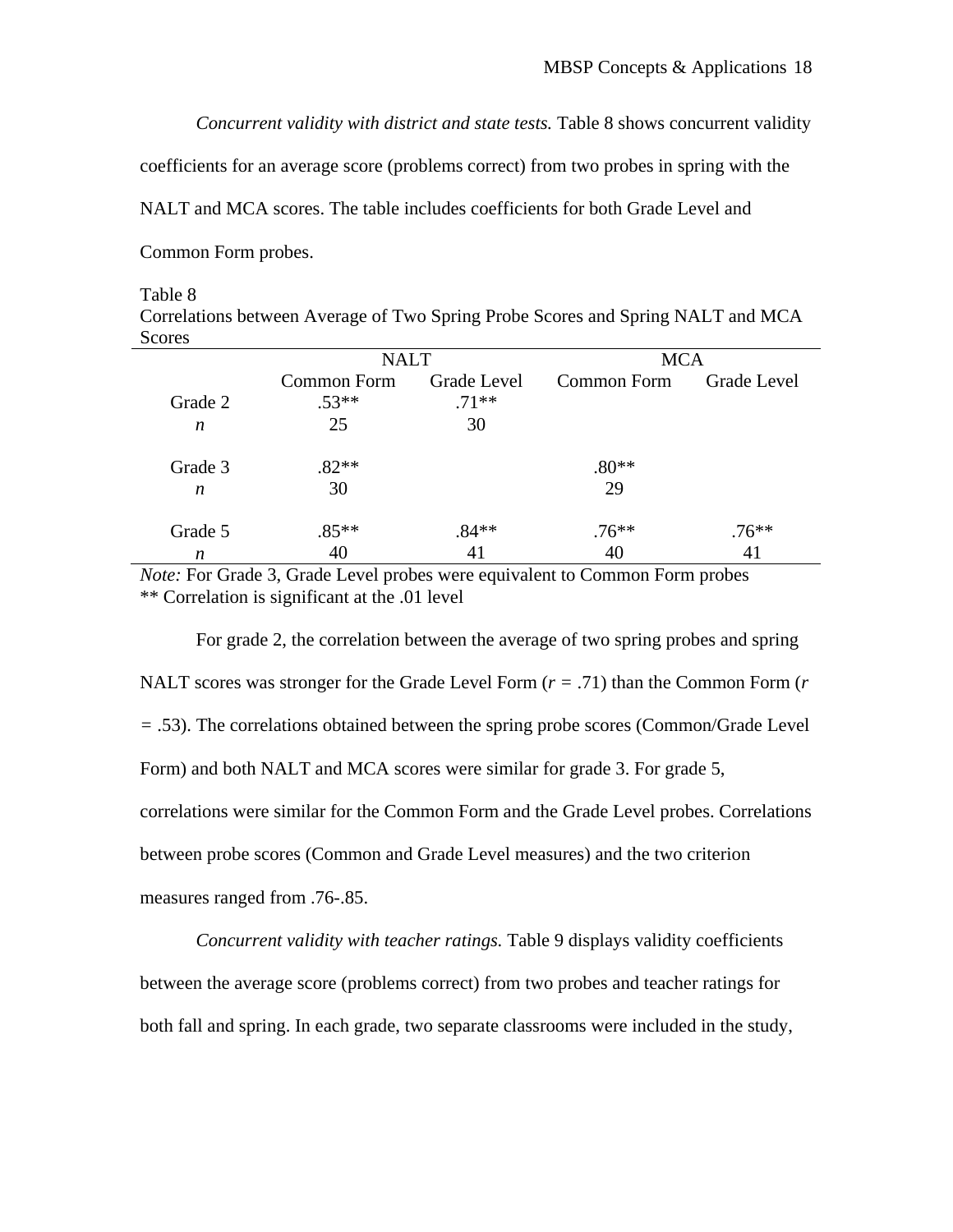*Concurrent validity with district and state tests.* Table 8 shows concurrent validity

coefficients for an average score (problems correct) from two probes in spring with the

NALT and MCA scores. The table includes coefficients for both Grade Level and

Common Form probes.

#### Table 8

Correlations between Average of Two Spring Probe Scores and Spring NALT and MCA Scores

|         | <b>NALT</b> |                | <b>MCA</b>  |             |
|---------|-------------|----------------|-------------|-------------|
|         | Common Form | Grade Level    | Common Form | Grade Level |
| Grade 2 | $.53**$     | $.71**$        |             |             |
| n       | 25          | 30             |             |             |
| Grade 3 | $.82**$     |                | $.80**$     |             |
| n       | 30          |                | 29          |             |
| Grade 5 | $.85**$     | $.84**$        | $.76**$     | $.76**$     |
| n       | 40          | $\overline{4}$ | 40          |             |

*Note:* For Grade 3, Grade Level probes were equivalent to Common Form probes \*\* Correlation is significant at the .01 level

For grade 2, the correlation between the average of two spring probes and spring NALT scores was stronger for the Grade Level Form (*r =* .71) than the Common Form (*r =* .53). The correlations obtained between the spring probe scores (Common/Grade Level Form) and both NALT and MCA scores were similar for grade 3. For grade 5, correlations were similar for the Common Form and the Grade Level probes. Correlations between probe scores (Common and Grade Level measures) and the two criterion measures ranged from .76-.85.

*Concurrent validity with teacher ratings.* Table 9 displays validity coefficients between the average score (problems correct) from two probes and teacher ratings for both fall and spring. In each grade, two separate classrooms were included in the study,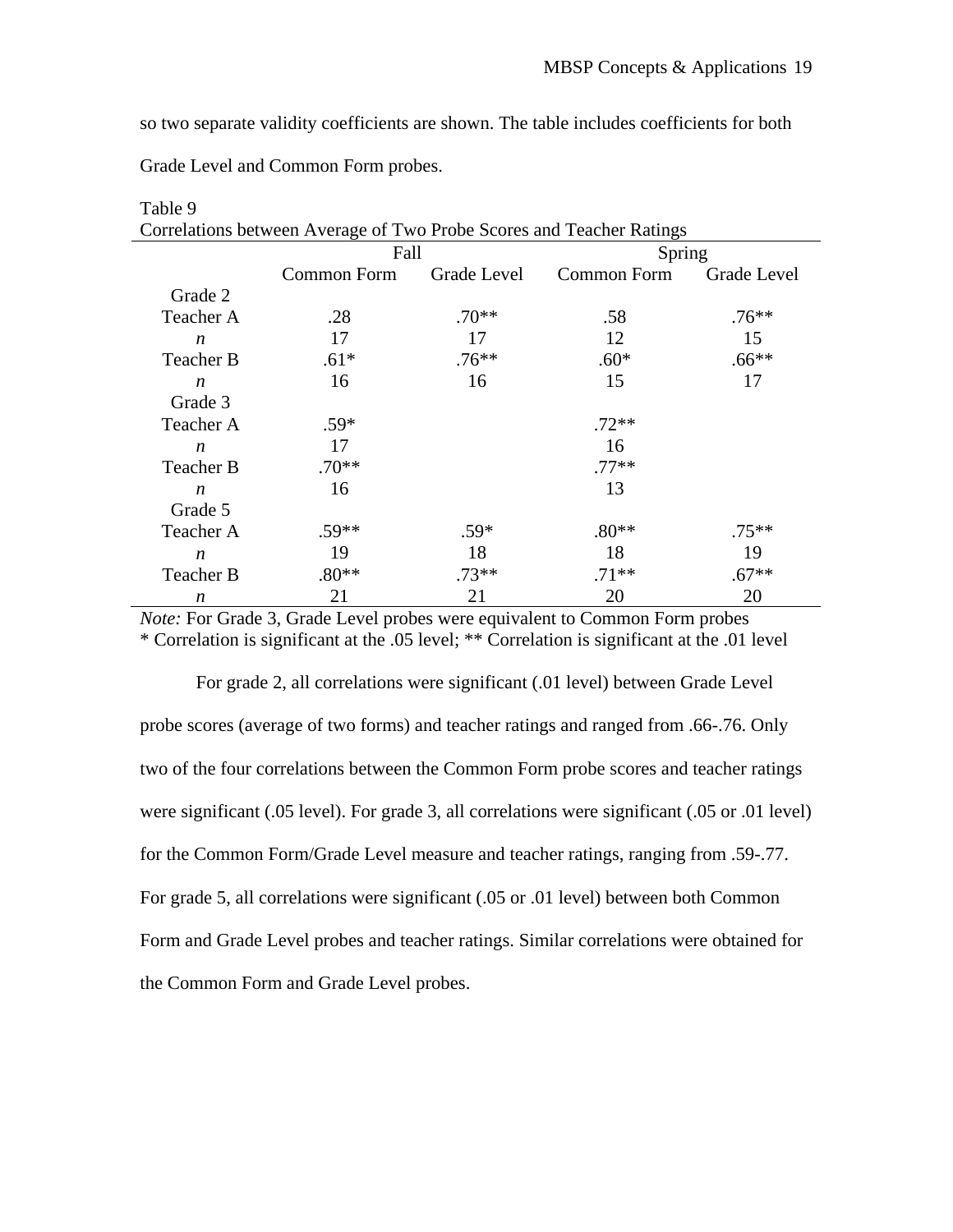so two separate validity coefficients are shown. The table includes coefficients for both

Grade Level and Common Form probes.

| Correlations between Average of Two Probe Scores and Teacher Ratings |             |             |             |             |  |
|----------------------------------------------------------------------|-------------|-------------|-------------|-------------|--|
|                                                                      | Fall        |             | Spring      |             |  |
|                                                                      | Common Form | Grade Level | Common Form | Grade Level |  |
| Grade 2                                                              |             |             |             |             |  |
| Teacher A                                                            | .28         | $.70**$     | .58         | $.76***$    |  |
| $\boldsymbol{n}$                                                     | 17          | 17          | 12          | 15          |  |
| Teacher B                                                            | $.61*$      | $.76**$     | $.60*$      | $.66**$     |  |
| $\boldsymbol{n}$                                                     | 16          | 16          | 15          | 17          |  |
| Grade 3                                                              |             |             |             |             |  |
| Teacher A                                                            | $.59*$      |             | $.72**$     |             |  |
| $\boldsymbol{n}$                                                     | 17          |             | 16          |             |  |
| Teacher B                                                            | $.70**$     |             | $.77**$     |             |  |
| $\boldsymbol{n}$                                                     | 16          |             | 13          |             |  |
| Grade 5                                                              |             |             |             |             |  |
| Teacher A                                                            | $.59**$     | $.59*$      | $.80**$     | $.75***$    |  |
| n                                                                    | 19          | 18          | 18          | 19          |  |
| Teacher B                                                            | $.80**$     | $.73**$     | $.71**$     | $.67**$     |  |
| n                                                                    | 21          | 21          | 20          | 20          |  |

Table 9

*Note:* For Grade 3, Grade Level probes were equivalent to Common Form probes \* Correlation is significant at the .05 level; \*\* Correlation is significant at the .01 level

For grade 2, all correlations were significant (.01 level) between Grade Level probe scores (average of two forms) and teacher ratings and ranged from .66-.76. Only two of the four correlations between the Common Form probe scores and teacher ratings were significant (.05 level). For grade 3, all correlations were significant (.05 or .01 level) for the Common Form/Grade Level measure and teacher ratings, ranging from .59-.77. For grade 5, all correlations were significant (.05 or .01 level) between both Common Form and Grade Level probes and teacher ratings. Similar correlations were obtained for the Common Form and Grade Level probes.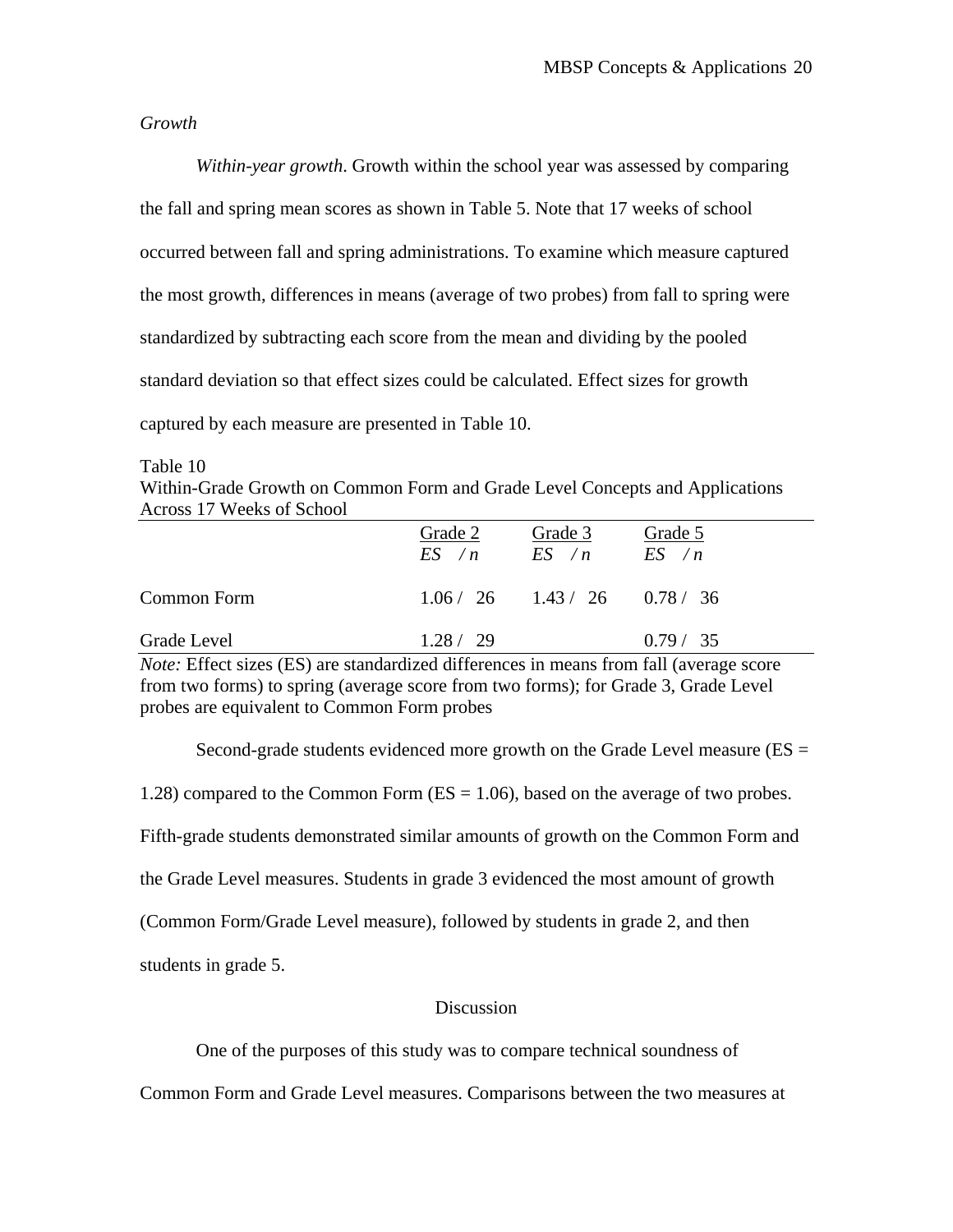#### *Growth*

*Within-year growth*. Growth within the school year was assessed by comparing the fall and spring mean scores as shown in Table 5. Note that 17 weeks of school occurred between fall and spring administrations. To examine which measure captured the most growth, differences in means (average of two probes) from fall to spring were standardized by subtracting each score from the mean and dividing by the pooled standard deviation so that effect sizes could be calculated. Effect sizes for growth captured by each measure are presented in Table 10.

Table 10

Within-Grade Growth on Common Form and Grade Level Concepts and Applications Across 17 Weeks of School

|             | Grade 2   | Grade 3<br>$ES \wedge n$ $ES \wedge n$ $ES \wedge n$ | Grade 5   |
|-------------|-----------|------------------------------------------------------|-----------|
| Common Form |           | $1.06 / 26$ $1.43 / 26$ $0.78 / 36$                  |           |
| Grade Level | 1.28 / 29 |                                                      | 0.79 / 35 |

*Note:* Effect sizes (ES) are standardized differences in means from fall (average score from two forms) to spring (average score from two forms); for Grade 3, Grade Level probes are equivalent to Common Form probes

Second-grade students evidenced more growth on the Grade Level measure  $(ES =$ 

1.28) compared to the Common Form (ES = 1.06), based on the average of two probes.

Fifth-grade students demonstrated similar amounts of growth on the Common Form and

the Grade Level measures. Students in grade 3 evidenced the most amount of growth

(Common Form/Grade Level measure), followed by students in grade 2, and then

students in grade 5.

#### **Discussion**

One of the purposes of this study was to compare technical soundness of

Common Form and Grade Level measures. Comparisons between the two measures at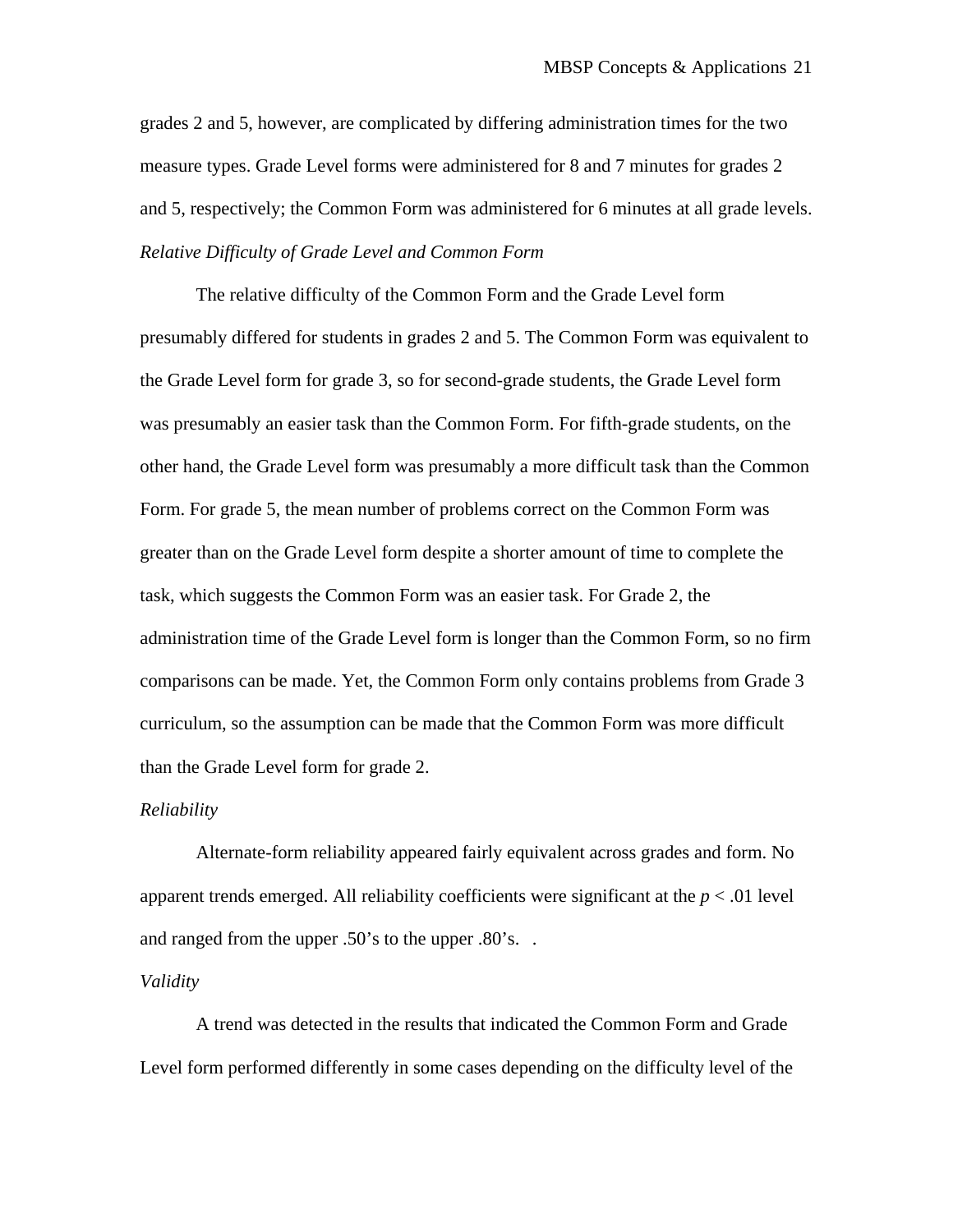grades 2 and 5, however, are complicated by differing administration times for the two measure types. Grade Level forms were administered for 8 and 7 minutes for grades 2 and 5, respectively; the Common Form was administered for 6 minutes at all grade levels. *Relative Difficulty of Grade Level and Common Form* 

 The relative difficulty of the Common Form and the Grade Level form presumably differed for students in grades 2 and 5. The Common Form was equivalent to the Grade Level form for grade 3, so for second-grade students, the Grade Level form was presumably an easier task than the Common Form. For fifth-grade students, on the other hand, the Grade Level form was presumably a more difficult task than the Common Form. For grade 5, the mean number of problems correct on the Common Form was greater than on the Grade Level form despite a shorter amount of time to complete the task, which suggests the Common Form was an easier task. For Grade 2, the administration time of the Grade Level form is longer than the Common Form, so no firm comparisons can be made. Yet, the Common Form only contains problems from Grade 3 curriculum, so the assumption can be made that the Common Form was more difficult than the Grade Level form for grade 2.

#### *Reliability*

 Alternate-form reliability appeared fairly equivalent across grades and form. No apparent trends emerged. All reliability coefficients were significant at the  $p < .01$  level and ranged from the upper .50's to the upper .80's. .

#### *Validity*

A trend was detected in the results that indicated the Common Form and Grade Level form performed differently in some cases depending on the difficulty level of the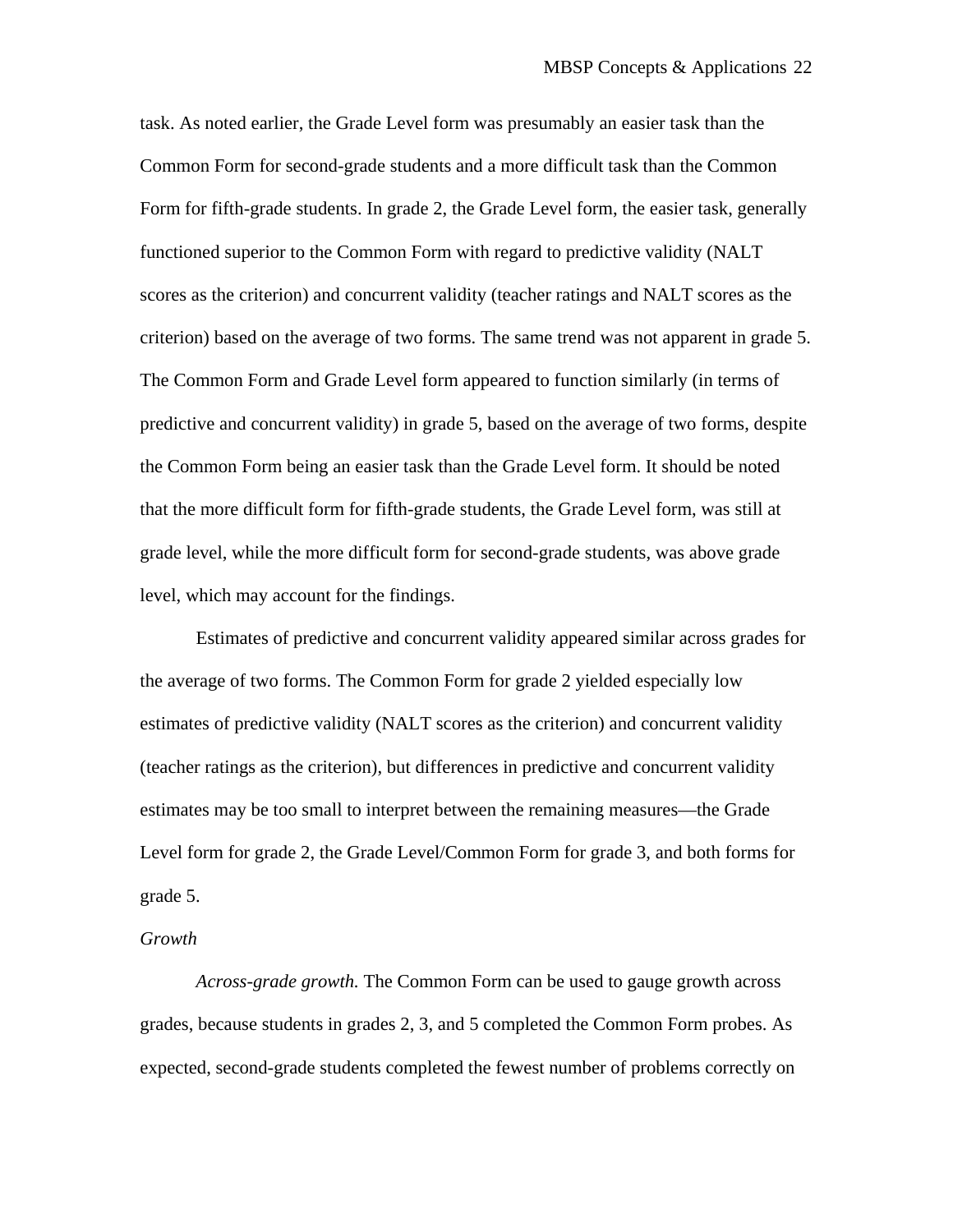task. As noted earlier, the Grade Level form was presumably an easier task than the Common Form for second-grade students and a more difficult task than the Common Form for fifth-grade students. In grade 2, the Grade Level form, the easier task, generally functioned superior to the Common Form with regard to predictive validity (NALT scores as the criterion) and concurrent validity (teacher ratings and NALT scores as the criterion) based on the average of two forms. The same trend was not apparent in grade 5. The Common Form and Grade Level form appeared to function similarly (in terms of predictive and concurrent validity) in grade 5, based on the average of two forms, despite the Common Form being an easier task than the Grade Level form. It should be noted that the more difficult form for fifth-grade students, the Grade Level form, was still at grade level, while the more difficult form for second-grade students, was above grade level, which may account for the findings.

Estimates of predictive and concurrent validity appeared similar across grades for the average of two forms. The Common Form for grade 2 yielded especially low estimates of predictive validity (NALT scores as the criterion) and concurrent validity (teacher ratings as the criterion), but differences in predictive and concurrent validity estimates may be too small to interpret between the remaining measures—the Grade Level form for grade 2, the Grade Level/Common Form for grade 3, and both forms for grade 5.

#### *Growth*

*Across-grade growth.* The Common Form can be used to gauge growth across grades, because students in grades 2, 3, and 5 completed the Common Form probes. As expected, second-grade students completed the fewest number of problems correctly on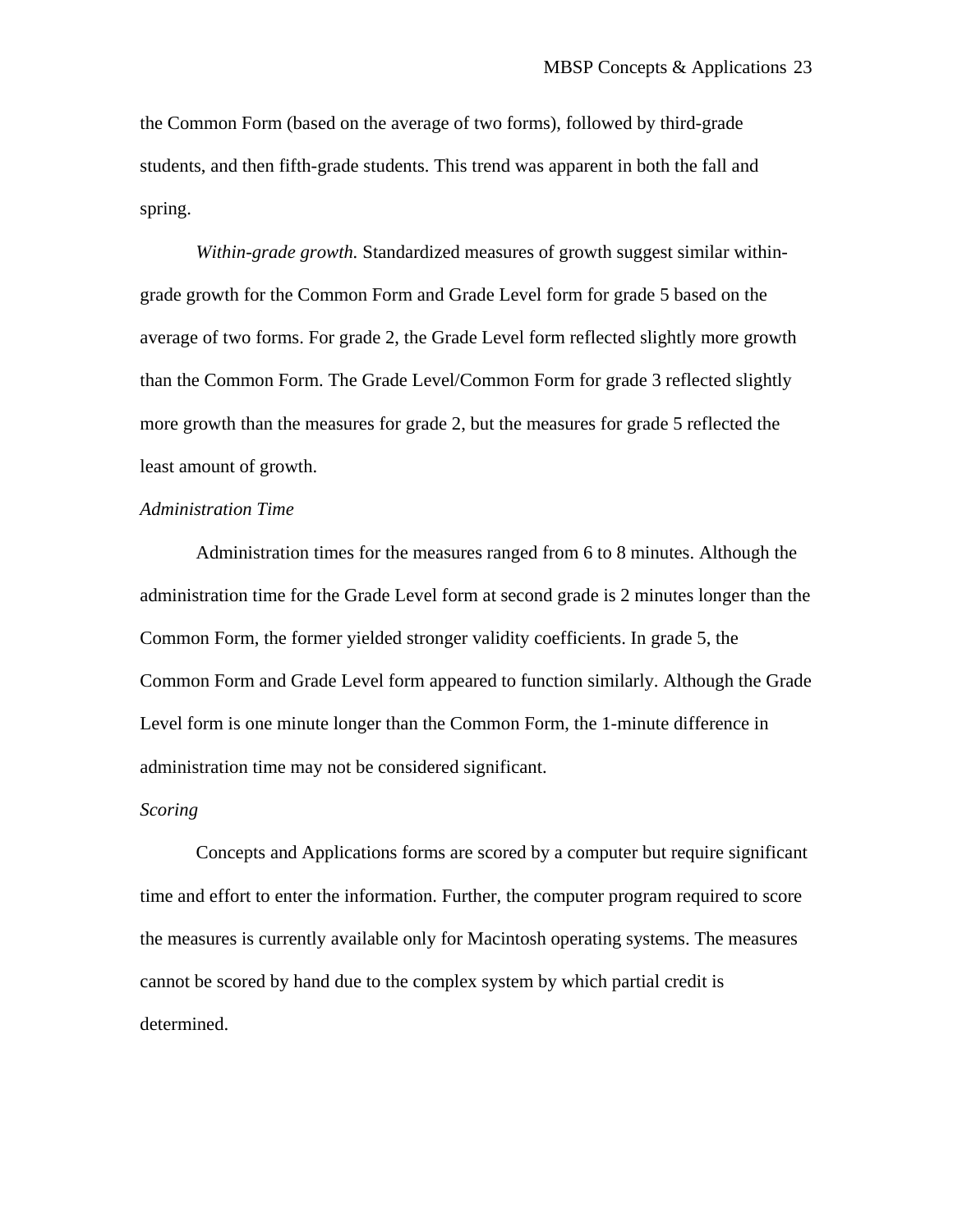the Common Form (based on the average of two forms), followed by third-grade students, and then fifth-grade students. This trend was apparent in both the fall and spring.

*Within-grade growth.* Standardized measures of growth suggest similar withingrade growth for the Common Form and Grade Level form for grade 5 based on the average of two forms. For grade 2, the Grade Level form reflected slightly more growth than the Common Form. The Grade Level/Common Form for grade 3 reflected slightly more growth than the measures for grade 2, but the measures for grade 5 reflected the least amount of growth.

# *Administration Time*

 Administration times for the measures ranged from 6 to 8 minutes. Although the administration time for the Grade Level form at second grade is 2 minutes longer than the Common Form, the former yielded stronger validity coefficients. In grade 5, the Common Form and Grade Level form appeared to function similarly. Although the Grade Level form is one minute longer than the Common Form, the 1-minute difference in administration time may not be considered significant.

#### *Scoring*

 Concepts and Applications forms are scored by a computer but require significant time and effort to enter the information. Further, the computer program required to score the measures is currently available only for Macintosh operating systems. The measures cannot be scored by hand due to the complex system by which partial credit is determined.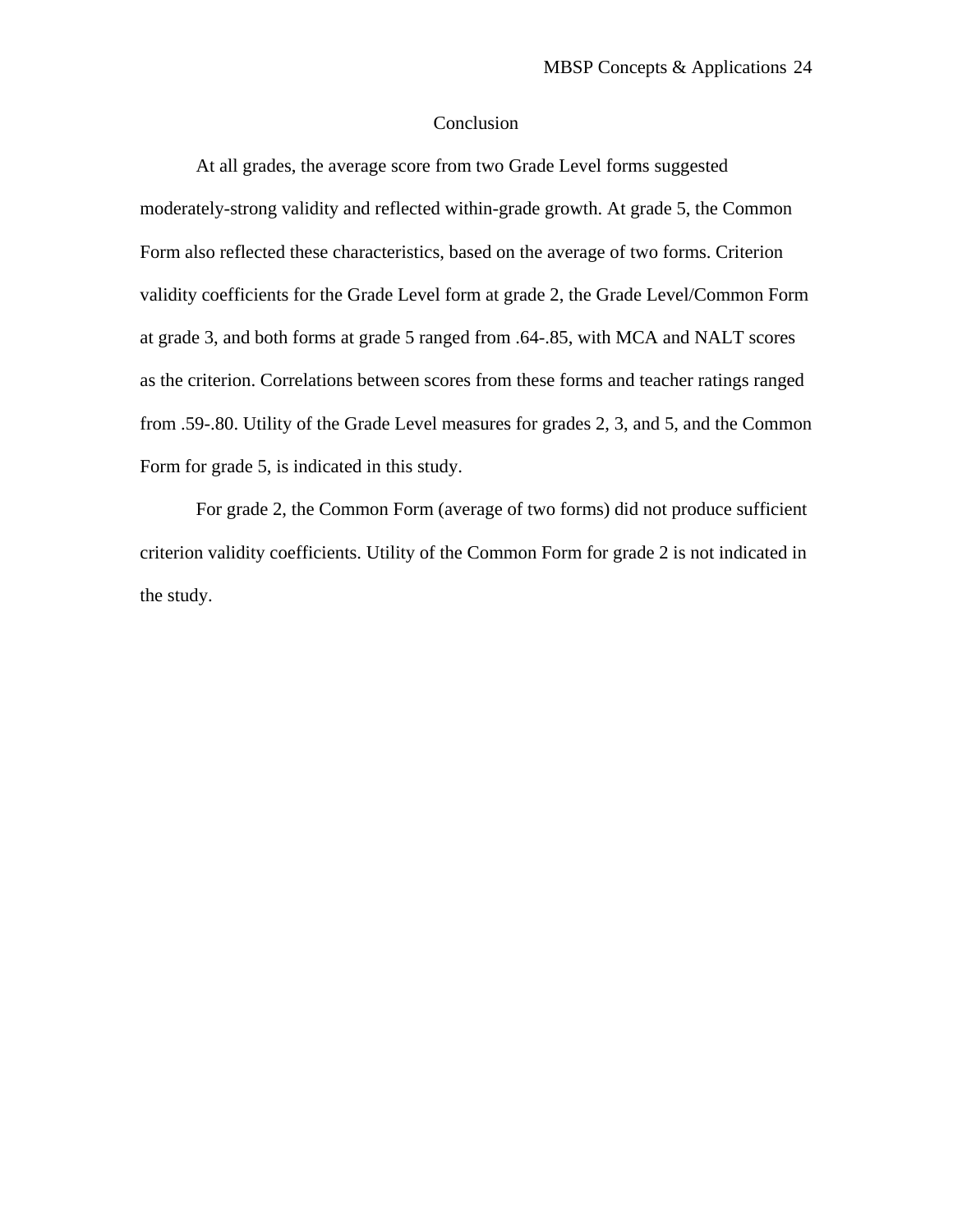# Conclusion

At all grades, the average score from two Grade Level forms suggested moderately-strong validity and reflected within-grade growth. At grade 5, the Common Form also reflected these characteristics, based on the average of two forms. Criterion validity coefficients for the Grade Level form at grade 2, the Grade Level/Common Form at grade 3, and both forms at grade 5 ranged from .64-.85, with MCA and NALT scores as the criterion. Correlations between scores from these forms and teacher ratings ranged from .59-.80. Utility of the Grade Level measures for grades 2, 3, and 5, and the Common Form for grade 5, is indicated in this study.

For grade 2, the Common Form (average of two forms) did not produce sufficient criterion validity coefficients. Utility of the Common Form for grade 2 is not indicated in the study.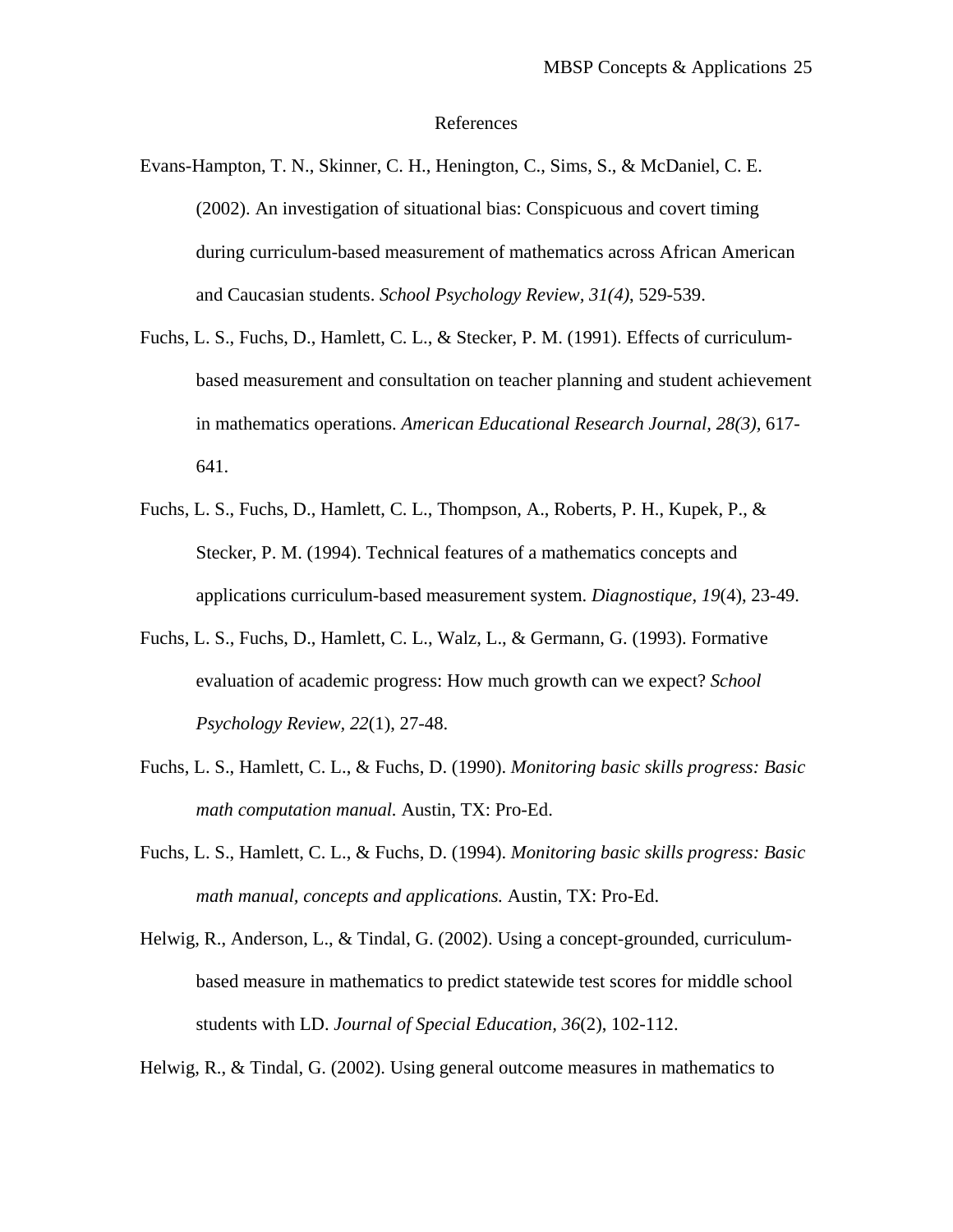#### References

Evans-Hampton, T. N., Skinner, C. H., Henington, C., Sims, S., & McDaniel, C. E. (2002). An investigation of situational bias: Conspicuous and covert timing during curriculum-based measurement of mathematics across African American and Caucasian students. *School Psychology Review, 31(4)*, 529-539.

- Fuchs, L. S., Fuchs, D., Hamlett, C. L., & Stecker, P. M. (1991). Effects of curriculumbased measurement and consultation on teacher planning and student achievement in mathematics operations. *American Educational Research Journal, 28(3),* 617- 641.
- Fuchs, L. S., Fuchs, D., Hamlett, C. L., Thompson, A., Roberts, P. H., Kupek, P., & Stecker, P. M. (1994). Technical features of a mathematics concepts and applications curriculum-based measurement system. *Diagnostique, 19*(4), 23-49.
- Fuchs, L. S., Fuchs, D., Hamlett, C. L., Walz, L., & Germann, G. (1993). Formative evaluation of academic progress: How much growth can we expect? *School Psychology Review, 22*(1), 27-48.
- Fuchs, L. S., Hamlett, C. L., & Fuchs, D. (1990). *Monitoring basic skills progress: Basic math computation manual.* Austin, TX: Pro-Ed.
- Fuchs, L. S., Hamlett, C. L., & Fuchs, D. (1994). *Monitoring basic skills progress: Basic math manual, concepts and applications.* Austin, TX: Pro-Ed.
- Helwig, R., Anderson, L., & Tindal, G. (2002). Using a concept-grounded, curriculumbased measure in mathematics to predict statewide test scores for middle school students with LD. *Journal of Special Education, 36*(2), 102-112.

Helwig, R., & Tindal, G. (2002). Using general outcome measures in mathematics to